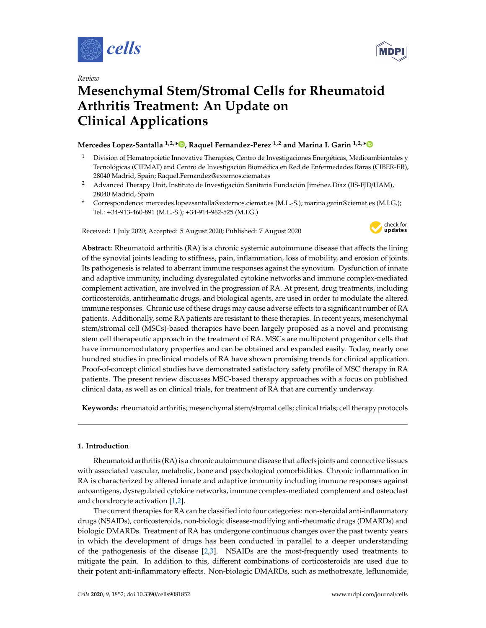





# **Mesenchymal Stem**/**Stromal Cells for Rheumatoid Arthritis Treatment: An Update on Clinical Applications**

# **Mercedes Lopez-Santalla 1,2,\* , Raquel Fernandez-Perez 1,2 and Marina I. Garin 1,2,\***

- $1$  Division of Hematopoietic Innovative Therapies, Centro de Investigaciones Energéticas, Medioambientales y Tecnológicas (CIEMAT) and Centro de Investigación Biomédica en Red de Enfermedades Raras (CIBER-ER), 28040 Madrid, Spain; Raquel.Fernandez@externos.ciemat.es
- <sup>2</sup> Advanced Therapy Unit, Instituto de Investigación Sanitaria Fundación Jiménez Díaz (IIS-FJD/UAM), 28040 Madrid, Spain
- **\*** Correspondence: mercedes.lopezsantalla@externos.ciemat.es (M.L.-S.); marina.garin@ciemat.es (M.I.G.); Tel.: +34-913-460-891 (M.L.-S.); +34-914-962-525 (M.I.G.)

Received: 1 July 2020; Accepted: 5 August 2020; Published: 7 August 2020



**Abstract:** Rheumatoid arthritis (RA) is a chronic systemic autoimmune disease that affects the lining of the synovial joints leading to stiffness, pain, inflammation, loss of mobility, and erosion of joints. Its pathogenesis is related to aberrant immune responses against the synovium. Dysfunction of innate and adaptive immunity, including dysregulated cytokine networks and immune complex-mediated complement activation, are involved in the progression of RA. At present, drug treatments, including corticosteroids, antirheumatic drugs, and biological agents, are used in order to modulate the altered immune responses. Chronic use of these drugs may cause adverse effects to a significant number of RA patients. Additionally, some RA patients are resistant to these therapies. In recent years, mesenchymal stem/stromal cell (MSCs)-based therapies have been largely proposed as a novel and promising stem cell therapeutic approach in the treatment of RA. MSCs are multipotent progenitor cells that have immunomodulatory properties and can be obtained and expanded easily. Today, nearly one hundred studies in preclinical models of RA have shown promising trends for clinical application. Proof-of-concept clinical studies have demonstrated satisfactory safety profile of MSC therapy in RA patients. The present review discusses MSC-based therapy approaches with a focus on published clinical data, as well as on clinical trials, for treatment of RA that are currently underway.

**Keywords:** rheumatoid arthritis; mesenchymal stem/stromal cells; clinical trials; cell therapy protocols

## **1. Introduction**

Rheumatoid arthritis (RA) is a chronic autoimmune disease that affects joints and connective tissues with associated vascular, metabolic, bone and psychological comorbidities. Chronic inflammation in RA is characterized by altered innate and adaptive immunity including immune responses against autoantigens, dysregulated cytokine networks, immune complex-mediated complement and osteoclast and chondrocyte activation [1,2].

The current therapies for RA can be classified into four categories: non-steroidal anti-inflammatory drugs (NSAIDs), corticosteroids, non-biologic disease-modifying anti-rheumatic drugs (DMARDs) and biologic DMARDs. Treatment of RA has undergone continuous changes over the past twenty years in which the development of drugs has been conducted in parallel to a deeper understanding of the pathogenesis of the disease  $[2,3]$ . NSAIDs are the most-frequently used treatments to mitigate the pain. In addition to this, different combinations of corticosteroids are used due to their potent anti-inflammatory effects. Non-biologic DMARDs, such as methotrexate, leflunomide,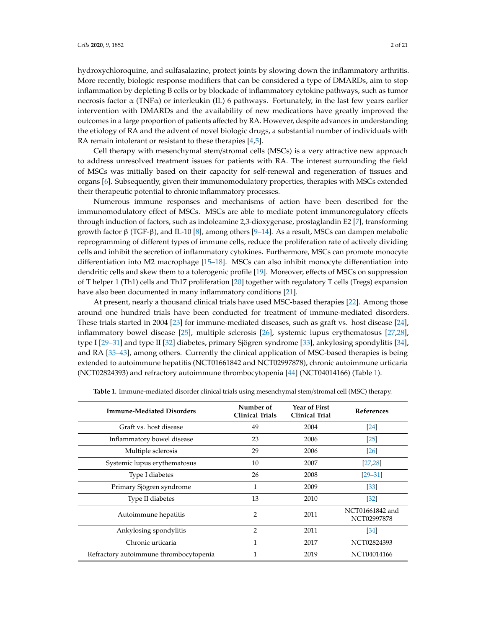hydroxychloroquine, and sulfasalazine, protect joints by slowing down the inflammatory arthritis. More recently, biologic response modifiers that can be considered a type of DMARDs, aim to stop inflammation by depleting B cells or by blockade of inflammatory cytokine pathways, such as tumor necrosis factor  $\alpha$  (TNF $\alpha$ ) or interleukin (IL) 6 pathways. Fortunately, in the last few years earlier intervention with DMARDs and the availability of new medications have greatly improved the outcomes in a large proportion of patients affected by RA. However, despite advances in understanding the etiology of RA and the advent of novel biologic drugs, a substantial number of individuals with RA remain intolerant or resistant to these therapies [4,5].

Cell therapy with mesenchymal stem/stromal cells (MSCs) is a very attractive new approach to address unresolved treatment issues for patients with RA. The interest surrounding the field of MSCs was initially based on their capacity for self-renewal and regeneration of tissues and organs [6]. Subsequently, given their immunomodulatory properties, therapies with MSCs extended their therapeutic potential to chronic inflammatory processes.

Numerous immune responses and mechanisms of action have been described for the immunomodulatory effect of MSCs. MSCs are able to mediate potent immunoregulatory effects through induction of factors, such as indoleamine 2,3-dioxygenase, prostaglandin E2 [7], transforming growth factor  $\beta$  (TGF- $\beta$ ), and IL-10 [8], among others [9–14]. As a result, MSCs can dampen metabolic reprogramming of different types of immune cells, reduce the proliferation rate of actively dividing cells and inhibit the secretion of inflammatory cytokines. Furthermore, MSCs can promote monocyte differentiation into M2 macrophage  $[15–18]$ . MSCs can also inhibit monocyte differentiation into dendritic cells and skew them to a tolerogenic profile [19]. Moreover, effects of MSCs on suppression of T helper 1 (Th1) cells and Th17 proliferation [20] together with regulatory T cells (Tregs) expansion have also been documented in many inflammatory conditions [21].

At present, nearly a thousand clinical trials have used MSC-based therapies [22]. Among those around one hundred trials have been conducted for treatment of immune-mediated disorders. These trials started in 2004 [23] for immune-mediated diseases, such as graft vs. host disease [24], inflammatory bowel disease [25], multiple sclerosis [26], systemic lupus erythematosus [27,28], type I [29–31] and type II [32] diabetes, primary Sjögren syndrome [33], ankylosing spondylitis [34], and RA [35–43], among others. Currently the clinical application of MSC-based therapies is being extended to autoimmune hepatitis (NCT01661842 and NCT02997878), chronic autoimmune urticaria (NCT02824393) and refractory autoimmune thrombocytopenia [44] (NCT04014166) (Table 1).

| <b>Immune-Mediated Disorders</b>       | Number of<br><b>Clinical Trials</b> | Year of First<br><b>Clinical Trial</b> | <b>References</b>              |
|----------------------------------------|-------------------------------------|----------------------------------------|--------------------------------|
| Graft vs. host disease                 | 49                                  | 2004                                   | $\left[24\right]$              |
| Inflammatory bowel disease             | 23                                  | 2006                                   | $\lceil 25 \rceil$             |
| Multiple sclerosis                     | 29                                  | 2006                                   | $\lceil 26 \rceil$             |
| Systemic lupus erythematosus           | 10                                  | 2007                                   | [27, 28]                       |
| Type I diabetes                        | 26                                  | 2008                                   | $[29 - 31]$                    |
| Primary Sjögren syndrome               | 1                                   | 2009                                   | [33]                           |
| Type II diabetes                       | 13                                  | 2010                                   | $\left[32\right]$              |
| Autoimmune hepatitis                   | 2                                   | 2011                                   | NCT01661842 and<br>NCT02997878 |
| Ankylosing spondylitis                 | $\overline{2}$                      | 2011                                   | [34]                           |
| Chronic urticaria                      | 1                                   | 2017                                   | NCT02824393                    |
| Refractory autoimmune thrombocytopenia | 1                                   | 2019                                   | NCT04014166                    |

**Table 1.** Immune-mediated disorder clinical trials using mesenchymal stem/stromal cell (MSC) therapy.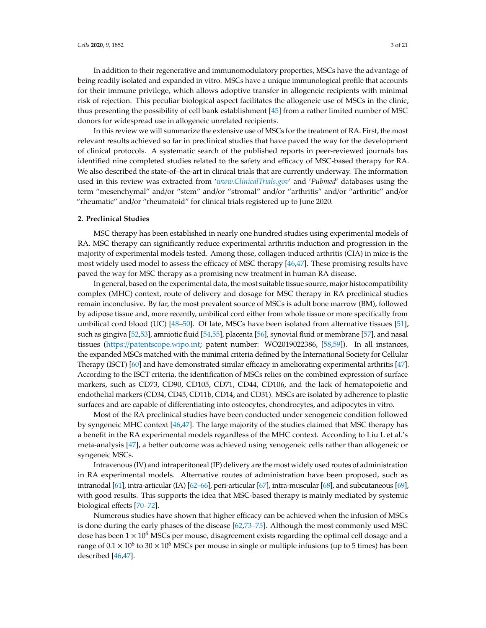In addition to their regenerative and immunomodulatory properties, MSCs have the advantage of being readily isolated and expanded in vitro. MSCs have a unique immunological profile that accounts for their immune privilege, which allows adoptive transfer in allogeneic recipients with minimal risk of rejection. This peculiar biological aspect facilitates the allogeneic use of MSCs in the clinic, thus presenting the possibility of cell bank establishment [45] from a rather limited number of MSC donors for widespread use in allogeneic unrelated recipients.

In this review we will summarize the extensive use of MSCs for the treatment of RA. First, the most relevant results achieved so far in preclinical studies that have paved the way for the development of clinical protocols. A systematic search of the published reports in peer-reviewed journals has identified nine completed studies related to the safety and efficacy of MSC-based therapy for RA. We also described the state-of–the-art in clinical trials that are currently underway. The information used in this review was extracted from '*www.ClinicalTrials.gov*' and '*Pubmed*' databases using the term "mesenchymal" and/or "stem" and/or "stromal" and/or "arthritis" and/or "arthritic" and/or "rheumatic" and/or "rheumatoid" for clinical trials registered up to June 2020.

### **2. Preclinical Studies**

MSC therapy has been established in nearly one hundred studies using experimental models of RA. MSC therapy can significantly reduce experimental arthritis induction and progression in the majority of experimental models tested. Among those, collagen-induced arthritis (CIA) in mice is the most widely used model to assess the efficacy of MSC therapy  $[46,47]$ . These promising results have paved the way for MSC therapy as a promising new treatment in human RA disease.

In general, based on the experimental data, the most suitable tissue source, major histocompatibility complex (MHC) context, route of delivery and dosage for MSC therapy in RA preclinical studies remain inconclusive. By far, the most prevalent source of MSCs is adult bone marrow (BM), followed by adipose tissue and, more recently, umbilical cord either from whole tissue or more specifically from umbilical cord blood (UC) [48–50]. Of late, MSCs have been isolated from alternative tissues [51], such as gingiva [52,53], amniotic fluid [54,55], placenta [56], synovial fluid or membrane [57], and nasal tissues (https://patentscope.wipo.int; patent number: WO2019022386, [58,59]). In all instances, the expanded MSCs matched with the minimal criteria defined by the International Society for Cellular Therapy (ISCT) [60] and have demonstrated similar efficacy in ameliorating experimental arthritis [47]. According to the ISCT criteria, the identification of MSCs relies on the combined expression of surface markers, such as CD73, CD90, CD105, CD71, CD44, CD106, and the lack of hematopoietic and endothelial markers (CD34, CD45, CD11b, CD14, and CD31). MSCs are isolated by adherence to plastic surfaces and are capable of differentiating into osteocytes, chondrocytes, and adipocytes in vitro.

Most of the RA preclinical studies have been conducted under xenogeneic condition followed by syngeneic MHC context [46,47]. The large majority of the studies claimed that MSC therapy has a benefit in the RA experimental models regardless of the MHC context. According to Liu L et al.'s meta-analysis [47], a better outcome was achieved using xenogeneic cells rather than allogeneic or syngeneic MSCs.

Intravenous (IV) and intraperitoneal (IP) delivery are the most widely used routes of administration in RA experimental models. Alternative routes of administration have been proposed, such as intranodal [61], intra-articular (IA) [62–66], peri-articular [67], intra-muscular [68], and subcutaneous [69], with good results. This supports the idea that MSC-based therapy is mainly mediated by systemic biological effects [70–72].

Numerous studies have shown that higher efficacy can be achieved when the infusion of MSCs is done during the early phases of the disease [62,73–75]. Although the most commonly used MSC dose has been  $1 \times 10^6$  MSCs per mouse, disagreement exists regarding the optimal cell dosage and a range of  $0.1 \times 10^6$  to  $30 \times 10^6$  MSCs per mouse in single or multiple infusions (up to 5 times) has been described [46,47].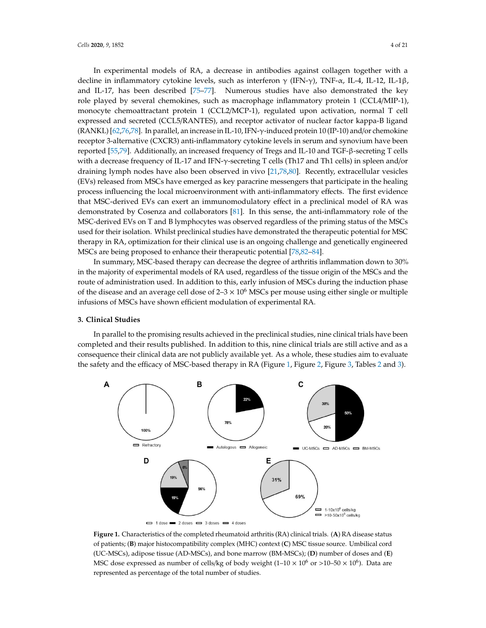In experimental models of RA, a decrease in antibodies against collagen together with a decline in inflammatory cytokine levels, such as interferon  $\gamma$  (IFN- $\gamma$ ), TNF- $\alpha$ , IL-4, IL-12, IL-1 $\beta$ , and IL-17, has been described [75–77]. Numerous studies have also demonstrated the key role played by several chemokines, such as macrophage inflammatory protein 1 (CCL4/MIP-1), monocyte chemoattractant protein 1 (CCL2/MCP-1), regulated upon activation, normal T cell expressed and secreted (CCL5/RANTES), and receptor activator of nuclear factor kappa-B ligand  $(RANKL)$  [62,76,78]. In parallel, an increase in IL-10, IFN- $\gamma$ -induced protein 10 (IP-10) and/or chemokine receptor 3-alternative (CXCR3) anti-inflammatory cytokine levels in serum and synovium have been reported  $[55,79]$ . Additionally, an increased frequency of Tregs and IL-10 and TGF- $\beta$ -secreting T cells with a decrease frequency of IL-17 and IFN- $\gamma$ -secreting T cells (Th17 and Th1 cells) in spleen and/or draining lymph nodes have also been observed in vivo [21,78,80]. Recently, extracellular vesicles (EVs) released from MSCs have emerged as key paracrine messengers that participate in the healing process influencing the local microenvironment with anti-inflammatory effects. The first evidence that MSC-derived EVs can exert an immunomodulatory effect in a preclinical model of RA was demonstrated by Cosenza and collaborators [81]. In this sense, the anti-inflammatory role of the MSC-derived EVs on T and B lymphocytes was observed regardless of the priming status of the MSCs used for their isolation. Whilst preclinical studies have demonstrated the therapeutic potential for MSC therapy in RA, optimization for their clinical use is an ongoing challenge and genetically engineered MSCs are being proposed to enhance their therapeutic potential [78,82–84].

In summary, MSC-based therapy can decrease the degree of arthritis inflammation down to 30% in the majority of experimental models of RA used, regardless of the tissue origin of the MSCs and the route of administration used. In addition to this, early infusion of MSCs during the induction phase of the disease and an average cell dose of  $2-3 \times 10^6$  MSCs per mouse using either single or multiple infusions of MSCs have shown efficient modulation of experimental RA.

### **3. Clinical Studies**

In parallel to the promising results achieved in the preclinical studies, nine clinical trials have been completed and their results published. In addition to this, nine clinical trials are still active and as a consequence their clinical data are not publicly available yet. As a whole, these studies aim to evaluate the safety and the efficacy of MSC-based therapy in RA (Figure 1, Figure 2, Figure 3, Tables 2 and 3).



**Figure 1.** Characteristics of the completed rheumatoid arthritis (RA) clinical trials. (**A**) RA disease status of patients; (**B**) major histocompatibility complex (MHC) context (**C**) MSC tissue source. Umbilical cord (UC-MSCs), adipose tissue (AD-MSCs), and bone marrow (BM-MSCs); (**D**) number of doses and (**E**) MSC dose expressed as number of cells/kg of body weight  $(1-10 \times 10^6 \text{ or } >10-50 \times 10^6)$ . Data are represented as percentage of the total number of studies.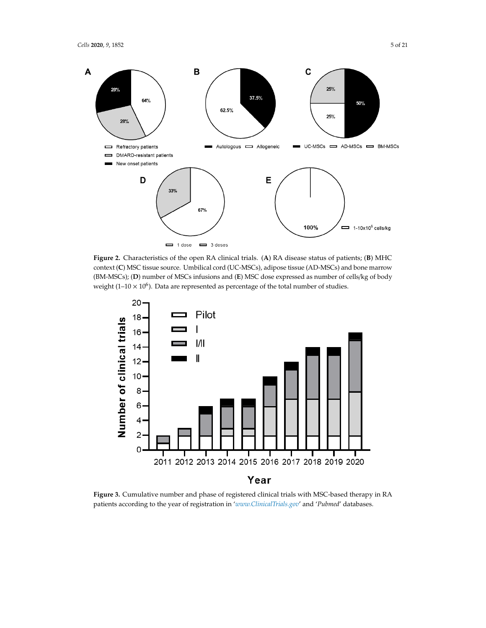

**Figure 2.** Characteristics of the open RA clinical trials. (**A**) RA disease status of patients; (**B**) MHC context (**C**) MSC tissue source. Umbilical cord (UC-MSCs), adipose tissue (AD-MSCs) and bone marrow (BM-MSCs); (**D**) number of MSCs infusions and (**E**) MSC dose expressed as number of cells/kg of body weight (1–10  $\times$  10<sup>6</sup>). Data are represented as percentage of the total number of studies.



**Figure 3.** Cumulative number and phase of registered clinical trials with MSC-based therapy in RA patients according to the year of registration in '*www.ClinicalTrials.gov*' and '*Pubmed*' databases.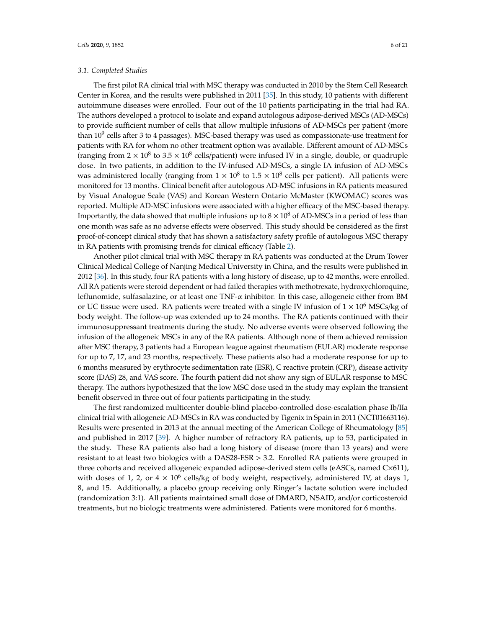### *3.1. Completed Studies*

The first pilot RA clinical trial with MSC therapy was conducted in 2010 by the Stem Cell Research Center in Korea, and the results were published in 2011 [35]. In this study, 10 patients with different autoimmune diseases were enrolled. Four out of the 10 patients participating in the trial had RA. The authors developed a protocol to isolate and expand autologous adipose-derived MSCs (AD-MSCs) to provide sufficient number of cells that allow multiple infusions of AD-MSCs per patient (more than  $10<sup>9</sup>$  cells after 3 to 4 passages). MSC-based therapy was used as compassionate-use treatment for patients with RA for whom no other treatment option was available. Different amount of AD-MSCs (ranging from  $2 \times 10^8$  to 3.5  $\times 10^8$  cells/patient) were infused IV in a single, double, or quadruple dose. In two patients, in addition to the IV-infused AD-MSCs, a single IA infusion of AD-MSCs was administered locally (ranging from  $1 \times 10^8$  to  $1.5 \times 10^8$  cells per patient). All patients were monitored for 13 months. Clinical benefit after autologous AD-MSC infusions in RA patients measured by Visual Analogue Scale (VAS) and Korean Western Ontario McMaster (KWOMAC) scores was reported. Multiple AD-MSC infusions were associated with a higher efficacy of the MSC-based therapy. Importantly, the data showed that multiple infusions up to  $8 \times 10^8$  of AD-MSCs in a period of less than one month was safe as no adverse effects were observed. This study should be considered as the first proof-of-concept clinical study that has shown a satisfactory safety profile of autologous MSC therapy in RA patients with promising trends for clinical efficacy (Table 2).

Another pilot clinical trial with MSC therapy in RA patients was conducted at the Drum Tower Clinical Medical College of Nanjing Medical University in China, and the results were published in 2012 [36]. In this study, four RA patients with a long history of disease, up to 42 months, were enrolled. All RA patients were steroid dependent or had failed therapies with methotrexate, hydroxychloroquine, leflunomide, sulfasalazine, or at least one TNF- $\alpha$  inhibitor. In this case, allogeneic either from BM or UC tissue were used. RA patients were treated with a single IV infusion of  $1 \times 10^6$  MSCs/kg of body weight. The follow-up was extended up to 24 months. The RA patients continued with their immunosuppressant treatments during the study. No adverse events were observed following the infusion of the allogeneic MSCs in any of the RA patients. Although none of them achieved remission after MSC therapy, 3 patients had a European league against rheumatism (EULAR) moderate response for up to 7, 17, and 23 months, respectively. These patients also had a moderate response for up to 6 months measured by erythrocyte sedimentation rate (ESR), C reactive protein (CRP), disease activity score (DAS) 28, and VAS score. The fourth patient did not show any sign of EULAR response to MSC therapy. The authors hypothesized that the low MSC dose used in the study may explain the transient benefit observed in three out of four patients participating in the study.

The first randomized multicenter double-blind placebo-controlled dose-escalation phase Ib/IIa clinical trial with allogeneic AD-MSCs in RA was conducted by Tigenix in Spain in 2011 (NCT01663116). Results were presented in 2013 at the annual meeting of the American College of Rheumatology [85] and published in 2017 [39]. A higher number of refractory RA patients, up to 53, participated in the study. These RA patients also had a long history of disease (more than 13 years) and were resistant to at least two biologics with a DAS28-ESR > 3.2. Enrolled RA patients were grouped in three cohorts and received allogeneic expanded adipose-derived stem cells (eASCs, named C×611), with doses of 1, 2, or  $4 \times 10^6$  cells/kg of body weight, respectively, administered IV, at days 1, 8, and 15. Additionally, a placebo group receiving only Ringer's lactate solution were included (randomization 3:1). All patients maintained small dose of DMARD, NSAID, and/or corticosteroid treatments, but no biologic treatments were administered. Patients were monitored for 6 months.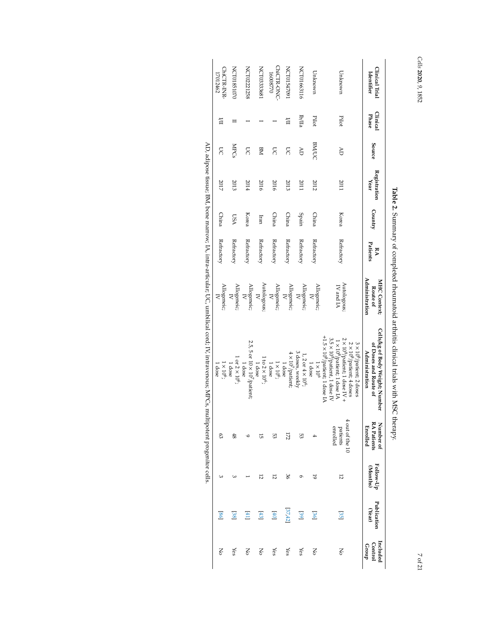| Clinical Trial<br>Identifier | Clinical<br>Phase | Source       | Registration<br>Year | Country    | Patients<br>ÞΜ | Administration<br><b>MHC Context;</b><br>Route of | Cells/kg of Body Weight; Number<br>of Doses and Route of<br>Administration                                                                                                                                                                                                                   | <b>RA Patients</b><br>Number of<br><b>Enrolled</b> | Follow-Up<br>(Months) | Publication<br>(Year) | Included<br>Control<br>Group |
|------------------------------|-------------------|--------------|----------------------|------------|----------------|---------------------------------------------------|----------------------------------------------------------------------------------------------------------------------------------------------------------------------------------------------------------------------------------------------------------------------------------------------|----------------------------------------------------|-----------------------|-----------------------|------------------------------|
| Unknown                      | Pilot             | Ğ            | 2011                 | Korea      | Refractory     | Autologous;<br>N and IA                           | $\begin{array}{l} 3.5\times 10^8/\text{patient}, 1\text{ does IV} \\ +1.5\times 10^8/\text{patient}, 1\text{ does IA} \end{array}$<br>$2 \times 10^8$ /patient; 1 dose IV +<br>$1 \times 10^8$ /patient; 1 dose IA<br>$3 \times 10^8$ /patient; 2 doses<br>2 $\times 10^8$ /patient; 4 doses | 4 out of the 10<br>patients<br>enrolled            | 12                    | 35]                   | Š                            |
| Unknown                      | Pilot             | <b>BM/UC</b> | 2012                 | China      | Refractory     | Allogeneic;<br>$\overline{z}$                     | $1 \times 10^6$<br>l dose                                                                                                                                                                                                                                                                    | 4                                                  | 5                     | 36]                   | Š                            |
| <b>NCT01663116</b>           | <b>Ib/IIa</b>     | AD           | 2011                 | Spain      | Refractory     | Allogeneic;<br>$\overline{z}$                     | 3 doses, weekly<br>$1, 2$ or $4 \times 10^{6}$ ;                                                                                                                                                                                                                                             | 53                                                 | ó                     | [99]                  | Yes                          |
| I602FSI012N                  | 旨                 | S            | 2013                 | China      | Refractory     | Allogeneic;<br>$\overline{z}$                     | $4 \times 10^7$ /patient;<br>1 dose                                                                                                                                                                                                                                                          | 172                                                | 96                    | [37, 42]              | Yes                          |
| ChiCTR-ONC-<br>16008770      |                   | S            | 2016                 | China      | Refractory     | Allogeneic;<br>$\overline{A}$                     | $1 \times 10^6$ ;<br>1 dose                                                                                                                                                                                                                                                                  | 53                                                 | 12                    | $\boxed{40}$          | Yes                          |
| NCT03333681                  |                   | MЯ           | 2016                 | Iran       | Refractory     | Autologous;<br>IV                                 | $1 to 2 \times 10^{6}$ ;<br>1 dose                                                                                                                                                                                                                                                           | 5Ī                                                 | 12                    | 43                    | Ňo                           |
| <b>NCT02221258</b>           |                   | S            | 2014                 | Korea      | Refractory     | Allogeneic;<br>$\overline{z}$                     | 2.5, 5 or 10 $\times$ 10 $^{\prime\prime}$ patient;<br>$1$ dose                                                                                                                                                                                                                              | $\circ$                                            |                       | [41]                  | Ňo                           |
| <b>NCT01851070</b>           | ⊟                 | <b>NPCs</b>  | 2013                 | <b>DSA</b> | Refractory     | Allogeneic;<br>$\overline{z}$                     | $1$ or $2 \times 10^6$ ;<br>1 dose                                                                                                                                                                                                                                                           | 48                                                 | ω                     | 38]                   | Yes                          |
| ChiCTR-INR-<br>17012462      | 旨                 | S            | 2017                 | China      | Refractory     | Allogeneic;<br>$\overline{z}$                     | $1 \times 10^6$ ;<br>1 dose                                                                                                                                                                                                                                                                  | S3                                                 | ω                     | [98]                  | Š                            |

*Cells* **2020**, *9*, 1852

7 of 21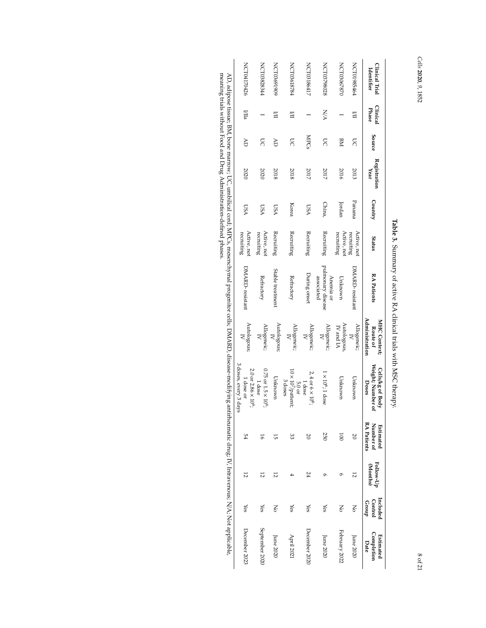# *Cells* **2020**, *9*, 1852

| Clinical Trial<br>Identifier | Clinical<br>Phase | Source         | Registration<br>Year | Country    | Status                    | <b>RA Patients</b>                           | Administration<br>MHC Context;<br>Route of | Weight; Number of<br>Cells/kg of Body<br>Doses                      | RA Patients<br>Number of<br>Estimated | Follow-Up<br>(Months) | Included<br><b>Control</b><br>croup | <b>Completion</b><br>Estimated<br>Date |
|------------------------------|-------------------|----------------|----------------------|------------|---------------------------|----------------------------------------------|--------------------------------------------|---------------------------------------------------------------------|---------------------------------------|-----------------------|-------------------------------------|----------------------------------------|
| F9FS8610LON                  | 旨                 | S              | 2013                 | Panama     | Active, not<br>recruiting | DMARD-resistant                              | Allogeneic;<br>$\overline{R}$              | Unknown                                                             |                                       | 12                    | Š                                   | June 2020                              |
| NCT03067870                  |                   | MЯ             | 2016                 | Jordan     | Active, not<br>recruiting | Unknown                                      | Autologous<br>IV and IA                    | Unknown                                                             | $\overline{001}$                      |                       | Š                                   | February 2022                          |
| NCT03798028                  | NA                | S              | 2017                 | China,     | Recruiting                | pulmonary disease<br>associated<br>Anemia or | Allogeneic;                                | $1 \times 10^6$ ; $1$ dose                                          | 250                                   |                       | χes                                 | June 2020                              |
| NCT03186417                  |                   | MPGS           | 2017                 | <b>LSA</b> | Recruiting                | During onset                                 | Allogeneic;                                | $2,4$ or 6 $\times$ 10 <sup>6</sup> ;<br>1 dose                     | 20                                    | 24                    | Yes                                 | December 2020                          |
| PICT03618784                 | 旨                 | S              | 2018                 | Korea      | Recruiting                | Refractory                                   | Allogeneic;<br>$\mathsf{R}$                | $10 \times 10^7$ /patient;<br>3 doses<br>5.0 or                     | 33                                    |                       | χes                                 | April 202                              |
| NCT03691909                  | Ξ                 | Ğ              | 2018                 | <b>USA</b> | Recruiting                | Stable treatment                             | Autologous;                                | Unknown                                                             | 5Ì                                    | 12                    | Š                                   | June 2020                              |
| <b>NCT03828344</b>           |                   | $\overline{5}$ | 2020                 | <b>LSA</b> | Active, not<br>recruiting | Refractory                                   | Allogeneic;<br>$\preceq$                   | $0.75$ or $1.5 \times 10^{6}$ ;<br>1 dose                           | 16                                    | 12                    | Yes                                 | september 2020                         |
| NCT04170426                  | Щa                | ₹              | 2020                 | <b>USA</b> | Active, not<br>recruiting | DMARD-resistant                              | Autologous;                                | 3 doses, every 3 days<br>$2.0$ or $2.86 \times 10^{6}$<br>1 dose or | 54                                    | 12                    | λë                                  | December 2023                          |
|                              |                   |                |                      |            |                           |                                              |                                            |                                                                     |                                       |                       |                                     |                                        |

**Table** $\bf{9}$ Summary of active $\boxtimes$  clinical trials with MSCtherapy.

AD, adipose tissue; BM, bone marrow; UC, umbilical cord; MPCs, mesenchymal progenitor cells; DMARD, disease-modifyingantirheumatic drug; $\overline{\mathbf{z}}$  Intravenous; N/A; Not applicable, meaning trials without Food and Drug Administration-definedphases.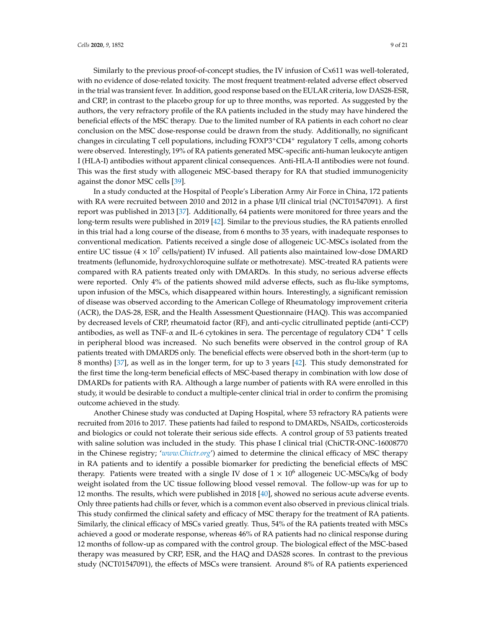Similarly to the previous proof-of-concept studies, the IV infusion of Cx611 was well-tolerated, with no evidence of dose-related toxicity. The most frequent treatment-related adverse effect observed in the trial was transient fever. In addition, good response based on the EULAR criteria, low DAS28-ESR, and CRP, in contrast to the placebo group for up to three months, was reported. As suggested by the authors, the very refractory profile of the RA patients included in the study may have hindered the beneficial effects of the MSC therapy. Due to the limited number of RA patients in each cohort no clear conclusion on the MSC dose-response could be drawn from the study. Additionally, no significant changes in circulating T cell populations, including FOXP3+CD4<sup>+</sup> regulatory T cells, among cohorts were observed. Interestingly, 19% of RA patients generated MSC-specific anti-human leukocyte antigen I (HLA-I) antibodies without apparent clinical consequences. Anti-HLA-II antibodies were not found. This was the first study with allogeneic MSC-based therapy for RA that studied immunogenicity against the donor MSC cells [39].

In a study conducted at the Hospital of People's Liberation Army Air Force in China, 172 patients with RA were recruited between 2010 and 2012 in a phase I/II clinical trial (NCT01547091). A first report was published in 2013 [37]. Additionally, 64 patients were monitored for three years and the long-term results were published in 2019 [42]. Similar to the previous studies, the RA patients enrolled in this trial had a long course of the disease, from 6 months to 35 years, with inadequate responses to conventional medication. Patients received a single dose of allogeneic UC-MSCs isolated from the entire UC tissue ( $4 \times 10^7$  cells/patient) IV infused. All patients also maintained low-dose DMARD treatments (leflunomide, hydroxychloroquine sulfate or methotrexate). MSC-treated RA patients were compared with RA patients treated only with DMARDs. In this study, no serious adverse effects were reported. Only 4% of the patients showed mild adverse effects, such as flu-like symptoms, upon infusion of the MSCs, which disappeared within hours. Interestingly, a significant remission of disease was observed according to the American College of Rheumatology improvement criteria (ACR), the DAS-28, ESR, and the Health Assessment Questionnaire (HAQ). This was accompanied by decreased levels of CRP, rheumatoid factor (RF), and anti-cyclic citrullinated peptide (anti-CCP) antibodies, as well as TNF- $\alpha$  and IL-6 cytokines in sera. The percentage of regulatory CD4<sup>+</sup> T cells in peripheral blood was increased. No such benefits were observed in the control group of RA patients treated with DMARDS only. The beneficial effects were observed both in the short-term (up to 8 months) [37], as well as in the longer term, for up to 3 years [42]. This study demonstrated for the first time the long-term beneficial effects of MSC-based therapy in combination with low dose of DMARDs for patients with RA. Although a large number of patients with RA were enrolled in this study, it would be desirable to conduct a multiple-center clinical trial in order to confirm the promising outcome achieved in the study.

Another Chinese study was conducted at Daping Hospital, where 53 refractory RA patients were recruited from 2016 to 2017. These patients had failed to respond to DMARDs, NSAIDs, corticosteroids and biologics or could not tolerate their serious side effects. A control group of 53 patients treated with saline solution was included in the study. This phase I clinical trial (ChiCTR-ONC-16008770 in the Chinese registry; 'www.Chictr.org') aimed to determine the clinical efficacy of MSC therapy in RA patients and to identify a possible biomarker for predicting the beneficial effects of MSC therapy. Patients were treated with a single IV dose of  $1 \times 10^6$  allogeneic UC-MSCs/kg of body weight isolated from the UC tissue following blood vessel removal. The follow-up was for up to 12 months. The results, which were published in 2018 [40], showed no serious acute adverse events. Only three patients had chills or fever, which is a common event also observed in previous clinical trials. This study confirmed the clinical safety and efficacy of MSC therapy for the treatment of RA patients. Similarly, the clinical efficacy of MSCs varied greatly. Thus, 54% of the RA patients treated with MSCs achieved a good or moderate response, whereas 46% of RA patients had no clinical response during 12 months of follow-up as compared with the control group. The biological effect of the MSC-based therapy was measured by CRP, ESR, and the HAQ and DAS28 scores. In contrast to the previous study (NCT01547091), the effects of MSCs were transient. Around 8% of RA patients experienced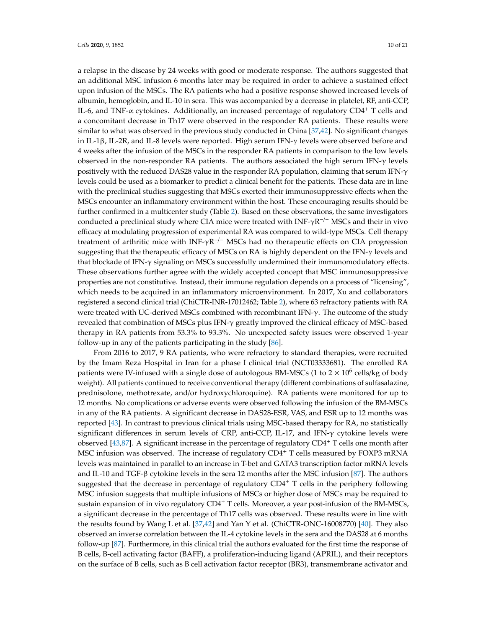a relapse in the disease by 24 weeks with good or moderate response. The authors suggested that an additional MSC infusion 6 months later may be required in order to achieve a sustained effect upon infusion of the MSCs. The RA patients who had a positive response showed increased levels of albumin, hemoglobin, and IL-10 in sera. This was accompanied by a decrease in platelet, RF, anti-CCP, IL-6, and TNF- $\alpha$  cytokines. Additionally, an increased percentage of regulatory CD4<sup>+</sup> T cells and a concomitant decrease in Th17 were observed in the responder RA patients. These results were similar to what was observed in the previous study conducted in China [37,42]. No significant changes in IL-1 $\beta$ , IL-2R, and IL-8 levels were reported. High serum IFN- $\gamma$  levels were observed before and 4 weeks after the infusion of the MSCs in the responder RA patients in comparison to the low levels observed in the non-responder RA patients. The authors associated the high serum IFN- $\gamma$  levels positively with the reduced DAS28 value in the responder RA population, claiming that serum IFN- $\gamma$ levels could be used as a biomarker to predict a clinical benefit for the patients. These data are in line with the preclinical studies suggesting that MSCs exerted their immunosuppressive effects when the MSCs encounter an inflammatory environment within the host. These encouraging results should be further confirmed in a multicenter study (Table 2). Based on these observations, the same investigators conducted a preclinical study where CIA mice were treated with INF- $\gamma R^{-/-}$  MSCs and their in vivo efficacy at modulating progression of experimental RA was compared to wild-type MSCs. Cell therapy treatment of arthritic mice with  $INF-\gamma R^{-/-}$  MSCs had no therapeutic effects on CIA progression suggesting that the therapeutic efficacy of MSCs on RA is highly dependent on the IFN- $\gamma$  levels and that blockade of IFN- $\gamma$  signaling on MSCs successfully undermined their immunomodulatory effects. These observations further agree with the widely accepted concept that MSC immunosuppressive properties are not constitutive. Instead, their immune regulation depends on a process of "licensing", which needs to be acquired in an inflammatory microenvironment. In 2017, Xu and collaborators registered a second clinical trial (ChiCTR-INR-17012462; Table 2), where 63 refractory patients with RA were treated with UC-derived MSCs combined with recombinant IFN- $\gamma$ . The outcome of the study revealed that combination of MSCs plus IFN- $\gamma$  greatly improved the clinical efficacy of MSC-based therapy in RA patients from 53.3% to 93.3%. No unexpected safety issues were observed 1-year follow-up in any of the patients participating in the study [86].

From 2016 to 2017, 9 RA patients, who were refractory to standard therapies, were recruited by the Imam Reza Hospital in Iran for a phase I clinical trial (NCT03333681). The enrolled RA patients were IV-infused with a single dose of autologous BM-MSCs (1 to  $2 \times 10^6$  cells/kg of body weight). All patients continued to receive conventional therapy (different combinations of sulfasalazine, prednisolone, methotrexate, and/or hydroxychloroquine). RA patients were monitored for up to 12 months. No complications or adverse events were observed following the infusion of the BM-MSCs in any of the RA patients. A significant decrease in DAS28-ESR, VAS, and ESR up to 12 months was reported [43]. In contrast to previous clinical trials using MSC-based therapy for RA, no statistically significant differences in serum levels of CRP, anti-CCP, IL-17, and IFN- $\gamma$  cytokine levels were observed  $[43,87]$ . A significant increase in the percentage of regulatory CD4<sup>+</sup> T cells one month after MSC infusion was observed. The increase of regulatory CD4<sup>+</sup> T cells measured by FOXP3 mRNA levels was maintained in parallel to an increase in T-bet and GATA3 transcription factor mRNA levels and IL-10 and TGF- $\beta$  cytokine levels in the sera 12 months after the MSC infusion [87]. The authors suggested that the decrease in percentage of regulatory  $CD4^+$  T cells in the periphery following MSC infusion suggests that multiple infusions of MSCs or higher dose of MSCs may be required to sustain expansion of in vivo regulatory  $CD4^+$  T cells. Moreover, a year post-infusion of the BM-MSCs, a significant decrease in the percentage of Th17 cells was observed. These results were in line with the results found by Wang L et al. [37,42] and Yan Y et al. (ChiCTR-ONC-16008770) [40]. They also observed an inverse correlation between the IL-4 cytokine levels in the sera and the DAS28 at 6 months follow-up [87]. Furthermore, in this clinical trial the authors evaluated for the first time the response of B cells, B-cell activating factor (BAFF), a proliferation-inducing ligand (APRIL), and their receptors on the surface of B cells, such as B cell activation factor receptor (BR3), transmembrane activator and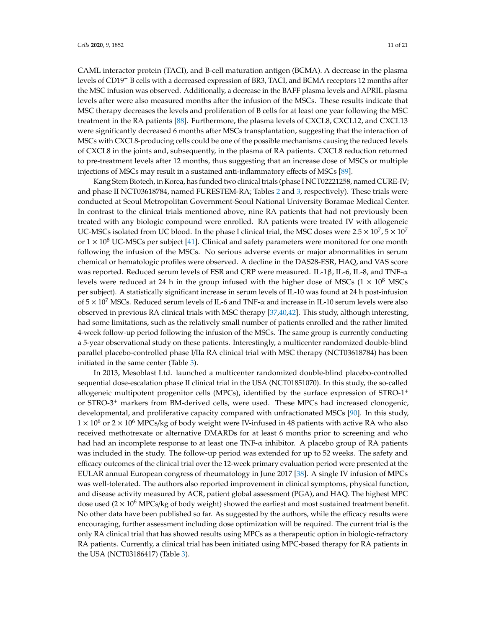CAML interactor protein (TACI), and B-cell maturation antigen (BCMA). A decrease in the plasma levels of CD19<sup>+</sup> B cells with a decreased expression of BR3, TACI, and BCMA receptors 12 months after the MSC infusion was observed. Additionally, a decrease in the BAFF plasma levels and APRIL plasma levels after were also measured months after the infusion of the MSCs. These results indicate that MSC therapy decreases the levels and proliferation of B cells for at least one year following the MSC treatment in the RA patients [88]. Furthermore, the plasma levels of CXCL8, CXCL12, and CXCL13 were significantly decreased 6 months after MSCs transplantation, suggesting that the interaction of MSCs with CXCL8-producing cells could be one of the possible mechanisms causing the reduced levels of CXCL8 in the joints and, subsequently, in the plasma of RA patients. CXCL8 reduction returned to pre-treatment levels after 12 months, thus suggesting that an increase dose of MSCs or multiple injections of MSCs may result in a sustained anti-inflammatory effects of MSCs [89].

Kang Stem Biotech, in Korea, has funded two clinical trials (phase I NCT02221258, named CURE-IV; and phase II NCT03618784, named FURESTEM-RA; Tables 2 and 3, respectively). These trials were conducted at Seoul Metropolitan Government-Seoul National University Boramae Medical Center. In contrast to the clinical trials mentioned above, nine RA patients that had not previously been treated with any biologic compound were enrolled. RA patients were treated IV with allogeneic UC-MSCs isolated from UC blood. In the phase I clinical trial, the MSC doses were  $2.5 \times 10^{7}$ ,  $5 \times 10^{7}$ or  $1 \times 10^8$  UC-MSCs per subject [41]. Clinical and safety parameters were monitored for one month following the infusion of the MSCs. No serious adverse events or major abnormalities in serum chemical or hematologic profiles were observed. A decline in the DAS28-ESR, HAQ, and VAS score was reported. Reduced serum levels of ESR and CRP were measured. IL-1β, IL-6, IL-8, and TNF- $\alpha$ levels were reduced at 24 h in the group infused with the higher dose of MSCs ( $1 \times 10^8$  MSCs per subject). A statistically significant increase in serum levels of IL-10 was found at 24 h post-infusion of  $5 \times 10^7$  MSCs. Reduced serum levels of IL-6 and TNF- $\alpha$  and increase in IL-10 serum levels were also observed in previous RA clinical trials with MSC therapy [37,40,42]. This study, although interesting, had some limitations, such as the relatively small number of patients enrolled and the rather limited 4-week follow-up period following the infusion of the MSCs. The same group is currently conducting a 5-year observational study on these patients. Interestingly, a multicenter randomized double-blind parallel placebo-controlled phase I/IIa RA clinical trial with MSC therapy (NCT03618784) has been initiated in the same center (Table 3).

In 2013, Mesoblast Ltd. launched a multicenter randomized double-blind placebo-controlled sequential dose-escalation phase II clinical trial in the USA (NCT01851070). In this study, the so-called allogeneic multipotent progenitor cells (MPCs), identified by the surface expression of STRO-1<sup>+</sup> or STRO-3<sup>+</sup> markers from BM-derived cells, were used. These MPCs had increased clonogenic, developmental, and proliferative capacity compared with unfractionated MSCs [90]. In this study,  $1 \times 10^6$  or  $2 \times 10^6$  MPCs/kg of body weight were IV-infused in 48 patients with active RA who also received methotrexate or alternative DMARDs for at least 6 months prior to screening and who had had an incomplete response to at least one TNF- $\alpha$  inhibitor. A placebo group of RA patients was included in the study. The follow-up period was extended for up to 52 weeks. The safety and efficacy outcomes of the clinical trial over the 12-week primary evaluation period were presented at the EULAR annual European congress of rheumatology in June 2017 [38]. A single IV infusion of MPCs was well-tolerated. The authors also reported improvement in clinical symptoms, physical function, and disease activity measured by ACR, patient global assessment (PGA), and HAQ. The highest MPC dose used  $(2 \times 10^6 \text{ MPCs/kg}$  of body weight) showed the earliest and most sustained treatment benefit. No other data have been published so far. As suggested by the authors, while the efficacy results were encouraging, further assessment including dose optimization will be required. The current trial is the only RA clinical trial that has showed results using MPCs as a therapeutic option in biologic-refractory RA patients. Currently, a clinical trial has been initiated using MPC-based therapy for RA patients in the USA (NCT03186417) (Table 3).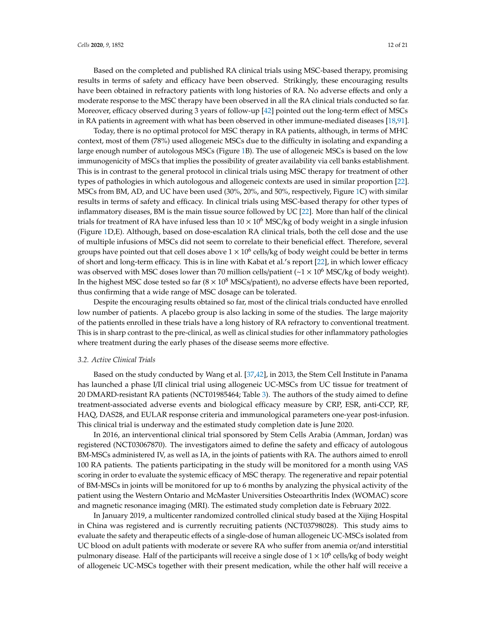Based on the completed and published RA clinical trials using MSC-based therapy, promising results in terms of safety and efficacy have been observed. Strikingly, these encouraging results have been obtained in refractory patients with long histories of RA. No adverse effects and only a moderate response to the MSC therapy have been observed in all the RA clinical trials conducted so far. Moreover, efficacy observed during 3 years of follow-up  $[42]$  pointed out the long-term effect of MSCs in RA patients in agreement with what has been observed in other immune-mediated diseases [18,91].

Today, there is no optimal protocol for MSC therapy in RA patients, although, in terms of MHC context, most of them (78%) used allogeneic MSCs due to the difficulty in isolating and expanding a large enough number of autologous MSCs (Figure 1B). The use of allogeneic MSCs is based on the low immunogenicity of MSCs that implies the possibility of greater availability via cell banks establishment. This is in contrast to the general protocol in clinical trials using MSC therapy for treatment of other types of pathologies in which autologous and allogeneic contexts are used in similar proportion [22]. MSCs from BM, AD, and UC have been used (30%, 20%, and 50%, respectively, Figure 1C) with similar results in terms of safety and efficacy. In clinical trials using MSC-based therapy for other types of inflammatory diseases, BM is the main tissue source followed by UC [22]. More than half of the clinical trials for treatment of RA have infused less than  $10 \times 10^6$  MSC/kg of body weight in a single infusion (Figure 1D,E). Although, based on dose-escalation RA clinical trials, both the cell dose and the use of multiple infusions of MSCs did not seem to correlate to their beneficial effect. Therefore, several groups have pointed out that cell doses above  $1 \times 10^6$  cells/kg of body weight could be better in terms of short and long-term efficacy. This is in line with Kabat et al.'s report [22], in which lower efficacy was observed with MSC doses lower than 70 million cells/patient ( $\sim$  1 × 10<sup>6</sup> MSC/kg of body weight). In the highest MSC dose tested so far  $(8 \times 10^8 \text{ MSCs/patient})$ , no adverse effects have been reported, thus confirming that a wide range of MSC dosage can be tolerated.

Despite the encouraging results obtained so far, most of the clinical trials conducted have enrolled low number of patients. A placebo group is also lacking in some of the studies. The large majority of the patients enrolled in these trials have a long history of RA refractory to conventional treatment. This is in sharp contrast to the pre-clinical, as well as clinical studies for other inflammatory pathologies where treatment during the early phases of the disease seems more effective.

### *3.2. Active Clinical Trials*

Based on the study conducted by Wang et al. [37,42], in 2013, the Stem Cell Institute in Panama has launched a phase I/II clinical trial using allogeneic UC-MSCs from UC tissue for treatment of 20 DMARD-resistant RA patients (NCT01985464; Table 3). The authors of the study aimed to define treatment-associated adverse events and biological efficacy measure by CRP, ESR, anti-CCP, RF, HAQ, DAS28, and EULAR response criteria and immunological parameters one-year post-infusion. This clinical trial is underway and the estimated study completion date is June 2020.

In 2016, an interventional clinical trial sponsored by Stem Cells Arabia (Amman, Jordan) was registered (NCT03067870). The investigators aimed to define the safety and efficacy of autologous BM-MSCs administered IV, as well as IA, in the joints of patients with RA. The authors aimed to enroll 100 RA patients. The patients participating in the study will be monitored for a month using VAS scoring in order to evaluate the systemic efficacy of MSC therapy. The regenerative and repair potential of BM-MSCs in joints will be monitored for up to 6 months by analyzing the physical activity of the patient using the Western Ontario and McMaster Universities Osteoarthritis Index (WOMAC) score and magnetic resonance imaging (MRI). The estimated study completion date is February 2022.

In January 2019, a multicenter randomized controlled clinical study based at the Xijing Hospital in China was registered and is currently recruiting patients (NCT03798028). This study aims to evaluate the safety and therapeutic effects of a single-dose of human allogeneic UC-MSCs isolated from UC blood on adult patients with moderate or severe RA who suffer from anemia or/and interstitial pulmonary disease. Half of the participants will receive a single dose of  $1 \times 10^6$  cells/kg of body weight of allogeneic UC-MSCs together with their present medication, while the other half will receive a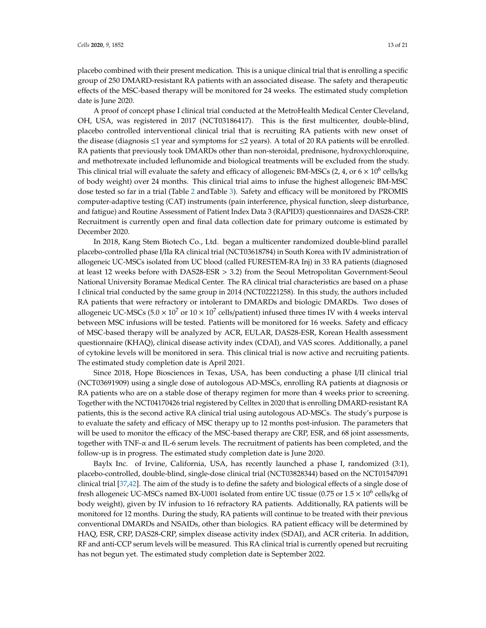placebo combined with their present medication. This is a unique clinical trial that is enrolling a specific group of 250 DMARD-resistant RA patients with an associated disease. The safety and therapeutic effects of the MSC-based therapy will be monitored for 24 weeks. The estimated study completion date is June 2020.

A proof of concept phase I clinical trial conducted at the MetroHealth Medical Center Cleveland, OH, USA, was registered in 2017 (NCT03186417). This is the first multicenter, double-blind, placebo controlled interventional clinical trial that is recruiting RA patients with new onset of the disease (diagnosis  $\leq 1$  year and symptoms for  $\leq 2$  years). A total of 20 RA patients will be enrolled. RA patients that previously took DMARDs other than non-steroidal, prednisone, hydroxychloroquine, and methotrexate included leflunomide and biological treatments will be excluded from the study. This clinical trial will evaluate the safety and efficacy of allogeneic BM-MSCs (2, 4, or  $6 \times 10^6$  cells/kg of body weight) over 24 months. This clinical trial aims to infuse the highest allogeneic BM-MSC dose tested so far in a trial (Table 2 andTable 3). Safety and efficacy will be monitored by PROMIS computer-adaptive testing (CAT) instruments (pain interference, physical function, sleep disturbance, and fatigue) and Routine Assessment of Patient Index Data 3 (RAPID3) questionnaires and DAS28-CRP. Recruitment is currently open and final data collection date for primary outcome is estimated by December 2020.

In 2018, Kang Stem Biotech Co., Ltd. began a multicenter randomized double-blind parallel placebo-controlled phase I/IIa RA clinical trial (NCT03618784) in South Korea with IV administration of allogeneic UC-MSCs isolated from UC blood (called FURESTEM-RA Inj) in 33 RA patients (diagnosed at least 12 weeks before with DAS28-ESR > 3.2) from the Seoul Metropolitan Government-Seoul National University Boramae Medical Center. The RA clinical trial characteristics are based on a phase I clinical trial conducted by the same group in 2014 (NCT02221258). In this study, the authors included RA patients that were refractory or intolerant to DMARDs and biologic DMARDs. Two doses of allogeneic UC-MSCs ( $5.0 \times 10^7$  or  $10 \times 10^7$  cells/patient) infused three times IV with 4 weeks interval between MSC infusions will be tested. Patients will be monitored for 16 weeks. Safety and efficacy of MSC-based therapy will be analyzed by ACR, EULAR, DAS28-ESR, Korean Health assessment questionnaire (KHAQ), clinical disease activity index (CDAI), and VAS scores. Additionally, a panel of cytokine levels will be monitored in sera. This clinical trial is now active and recruiting patients. The estimated study completion date is April 2021.

Since 2018, Hope Biosciences in Texas, USA, has been conducting a phase I/II clinical trial (NCT03691909) using a single dose of autologous AD-MSCs, enrolling RA patients at diagnosis or RA patients who are on a stable dose of therapy regimen for more than 4 weeks prior to screening. Together with the NCT04170426 trial registered by Celltex in 2020 that is enrolling DMARD-resistant RA patients, this is the second active RA clinical trial using autologous AD-MSCs. The study's purpose is to evaluate the safety and efficacy of MSC therapy up to 12 months post-infusion. The parameters that will be used to monitor the efficacy of the MSC-based therapy are CRP, ESR, and 68 joint assessments, together with TNF- $\alpha$  and IL-6 serum levels. The recruitment of patients has been completed, and the follow-up is in progress. The estimated study completion date is June 2020.

Baylx Inc. of Irvine, California, USA, has recently launched a phase I, randomized (3:1), placebo-controlled, double-blind, single-dose clinical trial (NCT03828344) based on the NCT01547091 clinical trial [37,42]. The aim of the study is to define the safety and biological effects of a single dose of fresh allogeneic UC-MSCs named BX-U001 isolated from entire UC tissue (0.75 or  $1.5 \times 10^6$  cells/kg of body weight), given by IV infusion to 16 refractory RA patients. Additionally, RA patients will be monitored for 12 months. During the study, RA patients will continue to be treated with their previous conventional DMARDs and NSAIDs, other than biologics. RA patient efficacy will be determined by HAQ, ESR, CRP, DAS28-CRP, simplex disease activity index (SDAI), and ACR criteria. In addition, RF and anti-CCP serum levels will be measured. This RA clinical trial is currently opened but recruiting has not begun yet. The estimated study completion date is September 2022.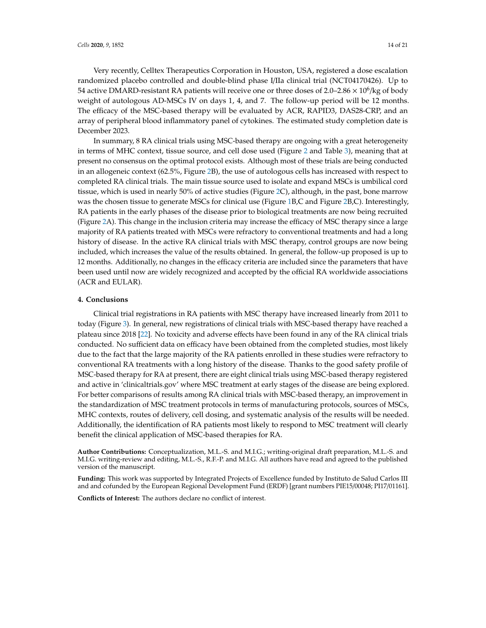Very recently, Celltex Therapeutics Corporation in Houston, USA, registered a dose escalation randomized placebo controlled and double-blind phase I/IIa clinical trial (NCT04170426). Up to 54 active DMARD-resistant RA patients will receive one or three doses of 2.0–2.86  $\times$  10<sup>6</sup>/kg of body weight of autologous AD-MSCs IV on days 1, 4, and 7. The follow-up period will be 12 months. The efficacy of the MSC-based therapy will be evaluated by ACR, RAPID3, DAS28-CRP, and an array of peripheral blood inflammatory panel of cytokines. The estimated study completion date is December 2023.

In summary, 8 RA clinical trials using MSC-based therapy are ongoing with a great heterogeneity in terms of MHC context, tissue source, and cell dose used (Figure 2 and Table 3), meaning that at present no consensus on the optimal protocol exists. Although most of these trials are being conducted in an allogeneic context (62.5%, Figure 2B), the use of autologous cells has increased with respect to completed RA clinical trials. The main tissue source used to isolate and expand MSCs is umbilical cord tissue, which is used in nearly 50% of active studies (Figure 2C), although, in the past, bone marrow was the chosen tissue to generate MSCs for clinical use (Figure 1B,C and Figure 2B,C). Interestingly, RA patients in the early phases of the disease prior to biological treatments are now being recruited (Figure 2A). This change in the inclusion criteria may increase the efficacy of MSC therapy since a large majority of RA patients treated with MSCs were refractory to conventional treatments and had a long history of disease. In the active RA clinical trials with MSC therapy, control groups are now being included, which increases the value of the results obtained. In general, the follow-up proposed is up to 12 months. Additionally, no changes in the efficacy criteria are included since the parameters that have been used until now are widely recognized and accepted by the official RA worldwide associations (ACR and EULAR).

### **4. Conclusions**

Clinical trial registrations in RA patients with MSC therapy have increased linearly from 2011 to today (Figure 3). In general, new registrations of clinical trials with MSC-based therapy have reached a plateau since 2018 [22]. No toxicity and adverse effects have been found in any of the RA clinical trials conducted. No sufficient data on efficacy have been obtained from the completed studies, most likely due to the fact that the large majority of the RA patients enrolled in these studies were refractory to conventional RA treatments with a long history of the disease. Thanks to the good safety profile of MSC-based therapy for RA at present, there are eight clinical trials using MSC-based therapy registered and active in 'clinicaltrials.gov' where MSC treatment at early stages of the disease are being explored. For better comparisons of results among RA clinical trials with MSC-based therapy, an improvement in the standardization of MSC treatment protocols in terms of manufacturing protocols, sources of MSCs, MHC contexts, routes of delivery, cell dosing, and systematic analysis of the results will be needed. Additionally, the identification of RA patients most likely to respond to MSC treatment will clearly benefit the clinical application of MSC-based therapies for RA.

**Author Contributions:** Conceptualization, M.L.-S. and M.I.G.; writing-original draft preparation, M.L.-S. and M.I.G. writing-review and editing, M.L.-S., R.F.-P. and M.I.G. All authors have read and agreed to the published version of the manuscript.

**Funding:** This work was supported by Integrated Projects of Excellence funded by Instituto de Salud Carlos III and and cofunded by the European Regional Development Fund (ERDF) [grant numbers PIE15/00048; PI17/01161].

**Conflicts of Interest:** The authors declare no conflict of interest.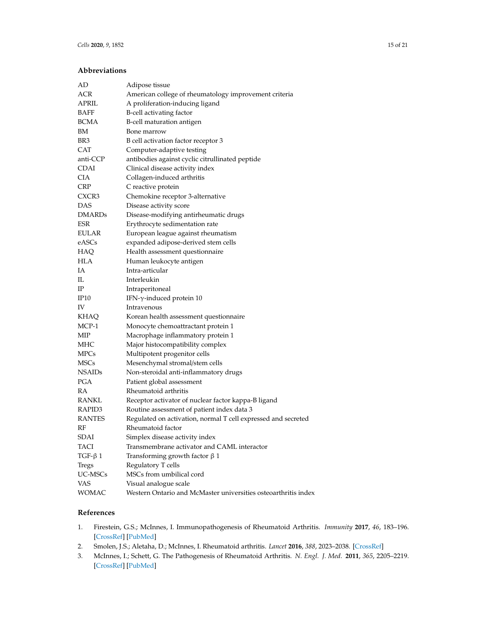# **Abbreviations**

| AD            | Adipose tissue                                                 |
|---------------|----------------------------------------------------------------|
| ACR           | American college of rheumatology improvement criteria          |
| APRIL         | A proliferation-inducing ligand                                |
| BAFF          | B-cell activating factor                                       |
| <b>BCMA</b>   | B-cell maturation antigen                                      |
| ΒM            | Bone marrow                                                    |
| BR3           | B cell activation factor receptor 3                            |
| <b>CAT</b>    | Computer-adaptive testing                                      |
| anti-CCP      | antibodies against cyclic citrullinated peptide                |
| CDAI          | Clinical disease activity index                                |
| CIA           | Collagen-induced arthritis                                     |
| <b>CRP</b>    | C reactive protein                                             |
| CXCR3         | Chemokine receptor 3-alternative                               |
| DAS           | Disease activity score                                         |
| DMARDs        | Disease-modifying antirheumatic drugs                          |
| ESR           | Erythrocyte sedimentation rate                                 |
| EULAR         | European league against rheumatism                             |
| eASCs         | expanded adipose-derived stem cells                            |
| HAQ           | Health assessment questionnaire                                |
| HLA           | Human leukocyte antigen                                        |
| IΑ            | Intra-articular                                                |
| IL            | Interleukin                                                    |
| IΡ            | Intraperitoneal                                                |
| IP10          | IFN- $\gamma$ -induced protein 10                              |
| IV            | Intravenous                                                    |
| KHAQ          | Korean health assessment questionnaire                         |
| MCP-1         | Monocyte chemoattractant protein 1                             |
| MIP           | Macrophage inflammatory protein 1                              |
| MHC           | Major histocompatibility complex                               |
| <b>MPCs</b>   | Multipotent progenitor cells                                   |
| <b>MSCs</b>   | Mesenchymal stromal/stem cells                                 |
| <b>NSAIDs</b> | Non-steroidal anti-inflammatory drugs                          |
| PGA           | Patient global assessment                                      |
| RA            | Rheumatoid arthritis                                           |
| RANKL         | Receptor activator of nuclear factor kappa-B ligand            |
| RAPID3        | Routine assessment of patient index data 3                     |
| <b>RANTES</b> | Regulated on activation, normal T cell expressed and secreted  |
| RF            | Rheumatoid factor                                              |
| SDAI          | Simplex disease activity index                                 |
| TACI          | Transmembrane activator and CAML interactor                    |
| $TGF-β1$      | Transforming growth factor $\beta$ 1                           |
| Tregs         | Regulatory T cells                                             |
| UC-MSCs       | MSCs from umbilical cord                                       |
| <b>VAS</b>    | Visual analogue scale                                          |
| <b>WOMAC</b>  | Western Ontario and McMaster universities osteoarthritis index |

### **References**

- 1. Firestein, G.S.; McInnes, I. Immunopathogenesis of Rheumatoid Arthritis. *Immunity* **2017**, *46*, 183–196. [CrossRef] [PubMed]
- 2. Smolen, J.S.; Aletaha, D.; McInnes, I. Rheumatoid arthritis. *Lancet* **2016**, *388*, 2023–2038. [CrossRef]
- 3. McInnes, I.; Schett, G. The Pathogenesis of Rheumatoid Arthritis. *N. Engl. J. Med.* **2011**, *365*, 2205–2219. [CrossRef] [PubMed]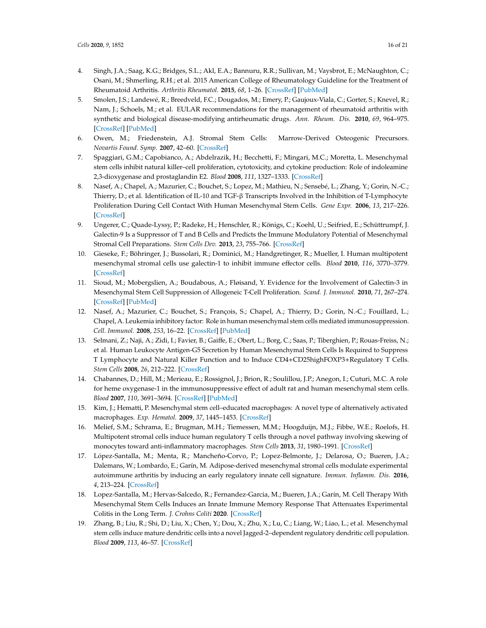- 4. Singh, J.A.; Saag, K.G.; Bridges, S.L.; Akl, E.A.; Bannuru, R.R.; Sullivan, M.; Vaysbrot, E.; McNaughton, C.; Osani, M.; Shmerling, R.H.; et al. 2015 American College of Rheumatology Guideline for the Treatment of Rheumatoid Arthritis. *Arthritis Rheumatol.* **2015**, *68*, 1–26. [CrossRef] [PubMed]
- 5. Smolen, J.S.; Landewé, R.; Breedveld, F.C.; Dougados, M.; Emery, P.; Gaujoux-Viala, C.; Gorter, S.; Knevel, R.; Nam, J.; Schoels, M.; et al. EULAR recommendations for the management of rheumatoid arthritis with synthetic and biological disease-modifying antirheumatic drugs. *Ann. Rheum. Dis.* **2010**, *69*, 964–975. [CrossRef] [PubMed]
- 6. Owen, M.; Friedenstein, A.J. Stromal Stem Cells: Marrow-Derived Osteogenic Precursors. *Novartis Found. Symp.* **2007**, 42–60. [CrossRef]
- 7. Spaggiari, G.M.; Capobianco, A.; Abdelrazik, H.; Becchetti, F.; Mingari, M.C.; Moretta, L. Mesenchymal stem cells inhibit natural killer–cell proliferation, cytotoxicity, and cytokine production: Role of indoleamine 2,3-dioxygenase and prostaglandin E2. *Blood* **2008**, *111*, 1327–1333. [CrossRef]
- 8. Nasef, A.; Chapel, A.; Mazurier, C.; Bouchet, S.; Lopez, M.; Mathieu, N.; Sensebé, L.; Zhang, Y.; Gorin, N.-C.; Thierry, D.; et al. Identification of IL-10 and TGF- $\beta$  Transcripts Involved in the Inhibition of T-Lymphocyte Proliferation During Cell Contact With Human Mesenchymal Stem Cells. *Gene Expr.* **2006**, *13*, 217–226. [CrossRef]
- 9. Ungerer, C.; Quade-Lyssy, P.; Radeke, H.; Henschler, R.; Königs, C.; Koehl, U.; Seifried, E.; Schüttrumpf, J. Galectin-9 Is a Suppressor of T and B Cells and Predicts the Immune Modulatory Potential of Mesenchymal Stromal Cell Preparations. *Stem Cells Dev.* **2013**, *23*, 755–766. [CrossRef]
- 10. Gieseke, F.; Böhringer, J.; Bussolari, R.; Dominici, M.; Handgretinger, R.; Mueller, I. Human multipotent mesenchymal stromal cells use galectin-1 to inhibit immune effector cells. *Blood* 2010, 116, 3770–3779. [CrossRef]
- 11. Sioud, M.; Mobergslien, A.; Boudabous, A.; Fløisand, Y. Evidence for the Involvement of Galectin-3 in Mesenchymal Stem Cell Suppression of Allogeneic T-Cell Proliferation. *Scand. J. Immunol.* **2010**, *71*, 267–274. [CrossRef] [PubMed]
- 12. Nasef, A.; Mazurier, C.; Bouchet, S.; François, S.; Chapel, A.; Thierry, D.; Gorin, N.-C.; Fouillard, L.; Chapel, A. Leukemia inhibitory factor: Role in human mesenchymal stem cells mediated immunosuppression. *Cell. Immunol.* **2008**, *253*, 16–22. [CrossRef] [PubMed]
- 13. Selmani, Z.; Naji, A.; Zidi, I.; Favier, B.; Gaiffe, E.; Obert, L.; Borg, C.; Saas, P.; Tiberghien, P.; Rouas-Freiss, N.; et al. Human Leukocyte Antigen-G5 Secretion by Human Mesenchymal Stem Cells Is Required to Suppress T Lymphocyte and Natural Killer Function and to Induce CD4+CD25highFOXP3+Regulatory T Cells. *Stem Cells* **2008**, *26*, 212–222. [CrossRef]
- 14. Chabannes, D.; Hill, M.; Merieau, E.; Rossignol, J.; Brion, R.; Soulillou, J.P.; Anegon, I.; Cuturi, M.C. A role for heme oxygenase-1 in the immunosuppressive effect of adult rat and human mesenchymal stem cells. *Blood* **2007**, *110*, 3691–3694. [CrossRef] [PubMed]
- 15. Kim, J.; Hematti, P. Mesenchymal stem cell–educated macrophages: A novel type of alternatively activated macrophages. *Exp. Hematol.* **2009**, *37*, 1445–1453. [CrossRef]
- 16. Melief, S.M.; Schrama, E.; Brugman, M.H.; Tiemessen, M.M.; Hoogduijn, M.J.; Fibbe, W.E.; Roelofs, H. Multipotent stromal cells induce human regulatory T cells through a novel pathway involving skewing of monocytes toward anti-inflammatory macrophages. *Stem Cells* **2013**, *31*, 1980–1991. [CrossRef]
- 17. López-Santalla, M.; Menta, R.; Mancheño-Corvo, P.; Lopez-Belmonte, J.; Delarosa, O.; Bueren, J.A.; Dalemans, W.; Lombardo, E.; Garín, M. Adipose-derived mesenchymal stromal cells modulate experimental autoimmune arthritis by inducing an early regulatory innate cell signature. *Immun. Inflamm. Dis.* **2016**, *4*, 213–224. [CrossRef]
- 18. Lopez-Santalla, M.; Hervas-Salcedo, R.; Fernandez-Garcia, M.; Bueren, J.A.; Garín, M. Cell Therapy With Mesenchymal Stem Cells Induces an Innate Immune Memory Response That Attenuates Experimental Colitis in the Long Term. *J. Crohns Coliti* **2020**. [CrossRef]
- 19. Zhang, B.; Liu, R.; Shi, D.; Liu, X.; Chen, Y.; Dou, X.; Zhu, X.; Lu, C.; Liang, W.; Liao, L.; et al. Mesenchymal stem cells induce mature dendritic cells into a novel Jagged-2–dependent regulatory dendritic cell population. *Blood* **2009**, *113*, 46–57. [CrossRef]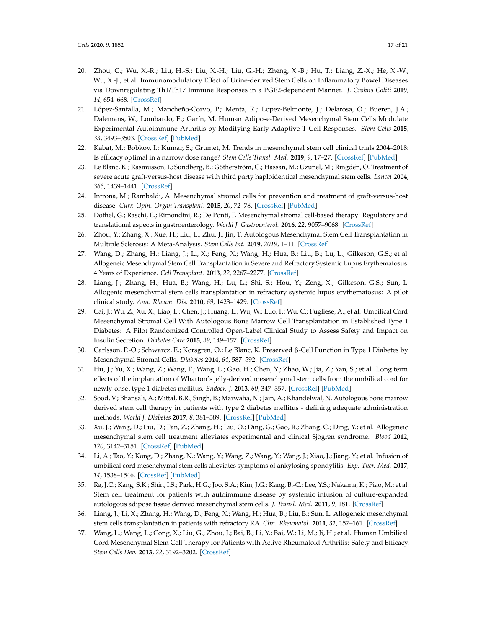- 20. Zhou, C.; Wu, X.-R.; Liu, H.-S.; Liu, X.-H.; Liu, G.-H.; Zheng, X.-B.; Hu, T.; Liang, Z.-X.; He, X.-W.; Wu, X.-J.; et al. Immunomodulatory Effect of Urine-derived Stem Cells on Inflammatory Bowel Diseases via Downregulating Th1/Th17 Immune Responses in a PGE2-dependent Manner. *J. Crohns Coliti* **2019**, *14*, 654–668. [CrossRef]
- 21. López-Santalla, M.; Mancheño-Corvo, P.; Menta, R.; Lopez-Belmonte, J.; Delarosa, O.; Bueren, J.A.; Dalemans, W.; Lombardo, E.; Garín, M. Human Adipose-Derived Mesenchymal Stem Cells Modulate Experimental Autoimmune Arthritis by Modifying Early Adaptive T Cell Responses. *Stem Cells* **2015**, *33*, 3493–3503. [CrossRef] [PubMed]
- 22. Kabat, M.; Bobkov, I.; Kumar, S.; Grumet, M. Trends in mesenchymal stem cell clinical trials 2004–2018: Is efficacy optimal in a narrow dose range? *Stem Cells Transl. Med.* 2019, 9, 17–27. [CrossRef] [PubMed]
- 23. Le Blanc, K.; Rasmusson, I.; Sundberg, B.; Götherström, C.; Hassan, M.; Uzunel, M.; Ringdén, O. Treatment of severe acute graft-versus-host disease with third party haploidentical mesenchymal stem cells. *Lancet* **2004**, *363*, 1439–1441. [CrossRef]
- 24. Introna, M.; Rambaldi, A. Mesenchymal stromal cells for prevention and treatment of graft-versus-host disease. *Curr. Opin. Organ Transplant.* **2015**, *20*, 72–78. [CrossRef] [PubMed]
- 25. Dothel, G.; Raschi, E.; Rimondini, R.; De Ponti, F. Mesenchymal stromal cell-based therapy: Regulatory and translational aspects in gastroenterology. *World J. Gastroenterol.* **2016**, *22*, 9057–9068. [CrossRef]
- 26. Zhou, Y.; Zhang, X.; Xue, H.; Liu, L.; Zhu, J.; Jin, T. Autologous Mesenchymal Stem Cell Transplantation in Multiple Sclerosis: A Meta-Analysis. *Stem Cells Int.* **2019**, *2019*, 1–11. [CrossRef]
- 27. Wang, D.; Zhang, H.; Liang, J.; Li, X.; Feng, X.; Wang, H.; Hua, B.; Liu, B.; Lu, L.; Gilkeson, G.S.; et al. Allogeneic Mesenchymal Stem Cell Transplantation in Severe and Refractory Systemic Lupus Erythematosus: 4 Years of Experience. *Cell Transplant.* **2013**, *22*, 2267–2277. [CrossRef]
- 28. Liang, J.; Zhang, H.; Hua, B.; Wang, H.; Lu, L.; Shi, S.; Hou, Y.; Zeng, X.; Gilkeson, G.S.; Sun, L. Allogenic mesenchymal stem cells transplantation in refractory systemic lupus erythematosus: A pilot clinical study. *Ann. Rheum. Dis.* **2010**, *69*, 1423–1429. [CrossRef]
- 29. Cai, J.; Wu, Z.; Xu, X.; Liao, L.; Chen, J.; Huang, L.; Wu, W.; Luo, F.; Wu, C.; Pugliese, A.; et al. Umbilical Cord Mesenchymal Stromal Cell With Autologous Bone Marrow Cell Transplantation in Established Type 1 Diabetes: A Pilot Randomized Controlled Open-Label Clinical Study to Assess Safety and Impact on Insulin Secretion. *Diabetes Care* **2015**, *39*, 149–157. [CrossRef]
- 30. Carlsson, P.-O.; Schwarcz, E.; Korsgren, O.; Le Blanc, K. Preserved  $\beta$ -Cell Function in Type 1 Diabetes by Mesenchymal Stromal Cells. *Diabetes* **2014**, *64*, 587–592. [CrossRef]
- 31. Hu, J.; Yu, X.; Wang, Z.; Wang, F.; Wang, L.; Gao, H.; Chen, Y.; Zhao, W.; Jia, Z.; Yan, S.; et al. Long term effects of the implantation of Wharton's jelly-derived mesenchymal stem cells from the umbilical cord for newly-onset type 1 diabetes mellitus. *Endocr. J.* **2013**, *60*, 347–357. [CrossRef] [PubMed]
- 32. Sood, V.; Bhansali, A.; Mittal, B.R.; Singh, B.; Marwaha, N.; Jain, A.; Khandelwal, N. Autologous bone marrow derived stem cell therapy in patients with type 2 diabetes mellitus - defining adequate administration methods. *World J. Diabetes* **2017**, *8*, 381–389. [CrossRef] [PubMed]
- 33. Xu, J.; Wang, D.; Liu, D.; Fan, Z.; Zhang, H.; Liu, O.; Ding, G.; Gao, R.; Zhang, C.; Ding, Y.; et al. Allogeneic mesenchymal stem cell treatment alleviates experimental and clinical Sjögren syndrome. *Blood* **2012**, *120*, 3142–3151. [CrossRef] [PubMed]
- 34. Li, A.; Tao, Y.; Kong, D.; Zhang, N.; Wang, Y.; Wang, Z.; Wang, Y.; Wang, J.; Xiao, J.; Jiang, Y.; et al. Infusion of umbilical cord mesenchymal stem cells alleviates symptoms of ankylosing spondylitis. *Exp. Ther. Med.* **2017**, *14*, 1538–1546. [CrossRef] [PubMed]
- 35. Ra, J.C.; Kang, S.K.; Shin, I.S.; Park, H.G.; Joo, S.A.; Kim, J.G.; Kang, B.-C.; Lee, Y.S.; Nakama, K.; Piao, M.; et al. Stem cell treatment for patients with autoimmune disease by systemic infusion of culture-expanded autologous adipose tissue derived mesenchymal stem cells. *J. Transl. Med.* **2011**, *9*, 181. [CrossRef]
- 36. Liang, J.; Li, X.; Zhang, H.; Wang, D.; Feng, X.; Wang, H.; Hua, B.; Liu, B.; Sun, L. Allogeneic mesenchymal stem cells transplantation in patients with refractory RA. *Clin. Rheumatol.* **2011**, *31*, 157–161. [CrossRef]
- 37. Wang, L.; Wang, L.; Cong, X.; Liu, G.; Zhou, J.; Bai, B.; Li, Y.; Bai, W.; Li, M.; Ji, H.; et al. Human Umbilical Cord Mesenchymal Stem Cell Therapy for Patients with Active Rheumatoid Arthritis: Safety and Efficacy. *Stem Cells Dev.* **2013**, *22*, 3192–3202. [CrossRef]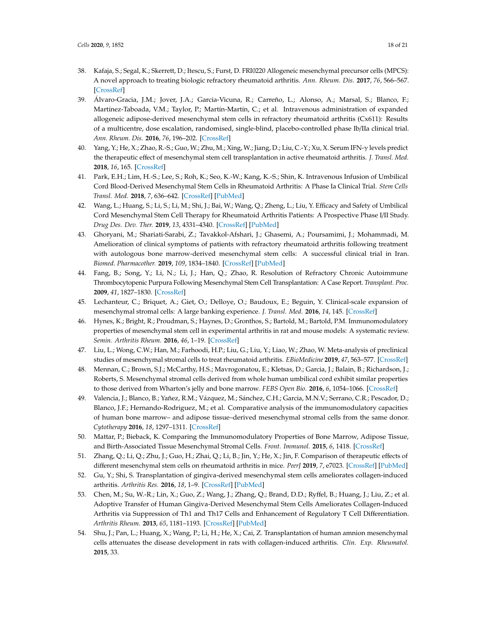- 38. Kafaja, S.; Segal, K.; Skerrett, D.; Itescu, S.; Furst, D. FRI0220 Allogeneic mesenchymal precursor cells (MPCS): A novel approach to treating biologic refractory rheumatoid arthritis. *Ann. Rheum. Dis.* **2017**, *76*, 566–567. [CrossRef]
- 39. Álvaro-Gracia, J.M.; Jover, J.A.; Garcia-Vicuna, R.; Carreño, L.; Alonso, A.; Marsal, S.; Blanco, F.; Martínez-Taboada, V.M.; Taylor, P.; Martín-Martín, C.; et al. Intravenous administration of expanded allogeneic adipose-derived mesenchymal stem cells in refractory rheumatoid arthritis (Cx611): Results of a multicentre, dose escalation, randomised, single-blind, placebo-controlled phase Ib/IIa clinical trial. *Ann. Rheum. Dis.* **2016**, *76*, 196–202. [CrossRef]
- 40. Yang, Y.; He, X.; Zhao, R.-S.; Guo, W.; Zhu, M.; Xing, W.; Jiang, D.; Liu, C.-Y.; Xu, X. Serum IFN- $\gamma$  levels predict the therapeutic effect of mesenchymal stem cell transplantation in active rheumatoid arthritis. *J. Transl. Med.* **2018**, *16*, 165. [CrossRef]
- 41. Park, E.H.; Lim, H.-S.; Lee, S.; Roh, K.; Seo, K.-W.; Kang, K.-S.; Shin, K. Intravenous Infusion of Umbilical Cord Blood-Derived Mesenchymal Stem Cells in Rheumatoid Arthritis: A Phase Ia Clinical Trial. *Stem Cells Transl. Med.* **2018**, *7*, 636–642. [CrossRef] [PubMed]
- 42. Wang, L.; Huang, S.; Li, S.; Li, M.; Shi, J.; Bai, W.; Wang, Q.; Zheng, L.; Liu, Y. Efficacy and Safety of Umbilical Cord Mesenchymal Stem Cell Therapy for Rheumatoid Arthritis Patients: A Prospective Phase I/II Study. *Drug Des. Dev. Ther.* **2019**, *13*, 4331–4340. [CrossRef] [PubMed]
- 43. Ghoryani, M.; Shariati-Sarabi, Z.; Tavakkol-Afshari, J.; Ghasemi, A.; Poursamimi, J.; Mohammadi, M. Amelioration of clinical symptoms of patients with refractory rheumatoid arthritis following treatment with autologous bone marrow-derived mesenchymal stem cells: A successful clinical trial in Iran. *Biomed. Pharmacother.* **2019**, *109*, 1834–1840. [CrossRef] [PubMed]
- 44. Fang, B.; Song, Y.; Li, N.; Li, J.; Han, Q.; Zhao, R. Resolution of Refractory Chronic Autoimmune Thrombocytopenic Purpura Following Mesenchymal Stem Cell Transplantation: A Case Report. *Transplant. Proc.* **2009**, *41*, 1827–1830. [CrossRef]
- 45. Lechanteur, C.; Briquet, A.; Giet, O.; Delloye, O.; Baudoux, E.; Beguin, Y. Clinical-scale expansion of mesenchymal stromal cells: A large banking experience. *J. Transl. Med.* **2016**, *14*, 145. [CrossRef]
- 46. Hynes, K.; Bright, R.; Proudman, S.; Haynes, D.; Gronthos, S.; Bartold, M.; Bartold, P.M. Immunomodulatory properties of mesenchymal stem cell in experimental arthritis in rat and mouse models: A systematic review. *Semin. Arthritis Rheum.* **2016**, *46*, 1–19. [CrossRef]
- 47. Liu, L.; Wong, C.W.; Han, M.; Farhoodi, H.P.; Liu, G.; Liu, Y.; Liao, W.; Zhao, W. Meta-analysis of preclinical studies of mesenchymal stromal cells to treat rheumatoid arthritis. *EBioMedicine* **2019**, *47*, 563–577. [CrossRef]
- 48. Mennan, C.; Brown, S.J.; McCarthy, H.S.; Mavrogonatou, E.; Kletsas, D.; Garcia, J.; Balain, B.; Richardson, J.; Roberts, S. Mesenchymal stromal cells derived from whole human umbilical cord exhibit similar properties to those derived from Wharton's jelly and bone marrow. *FEBS Open Bio.* **2016**, *6*, 1054–1066. [CrossRef]
- 49. Valencia, J.; Blanco, B.; Yañez, R.M.; Vázquez, M.; Sánchez, C.H.; Garcia, M.N.V.; Serrano, C.R.; Pescador, D.; Blanco, J.F.; Hernando-Rodriguez, M.; et al. Comparative analysis of the immunomodulatory capacities of human bone marrow– and adipose tissue–derived mesenchymal stromal cells from the same donor. *Cytotherapy* **2016**, *18*, 1297–1311. [CrossRef]
- 50. Mattar, P.; Bieback, K. Comparing the Immunomodulatory Properties of Bone Marrow, Adipose Tissue, and Birth-Associated Tissue Mesenchymal Stromal Cells. *Front. Immunol.* **2015**, *6*, 1418. [CrossRef]
- 51. Zhang, Q.; Li, Q.; Zhu, J.; Guo, H.; Zhai, Q.; Li, B.; Jin, Y.; He, X.; Jin, F. Comparison of therapeutic effects of different mesenchymal stem cells on rheumatoid arthritis in mice. PeerJ 2019, 7, e7023. [CrossRef] [PubMed]
- 52. Gu, Y.; Shi, S. Transplantation of gingiva-derived mesenchymal stem cells ameliorates collagen-induced arthritis. *Arthritis Res.* **2016**, *18*, 1–9. [CrossRef] [PubMed]
- 53. Chen, M.; Su, W.-R.; Lin, X.; Guo, Z.; Wang, J.; Zhang, Q.; Brand, D.D.; Ryffel, B.; Huang, J.; Liu, Z.; et al. Adoptive Transfer of Human Gingiva-Derived Mesenchymal Stem Cells Ameliorates Collagen-Induced Arthritis via Suppression of Th1 and Th17 Cells and Enhancement of Regulatory T Cell Differentiation. *Arthritis Rheum.* **2013**, *65*, 1181–1193. [CrossRef] [PubMed]
- 54. Shu, J.; Pan, L.; Huang, X.; Wang, P.; Li, H.; He, X.; Cai, Z. Transplantation of human amnion mesenchymal cells attenuates the disease development in rats with collagen-induced arthritis. *Clin. Exp. Rheumatol.* **2015**, 33.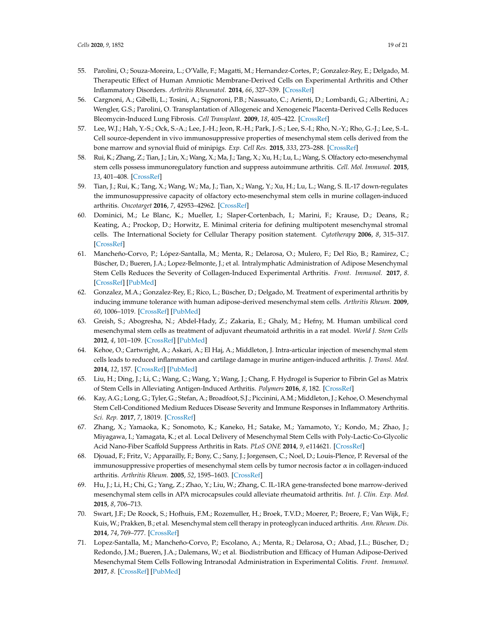- 55. Parolini, O.; Souza-Moreira, L.; O'Valle, F.; Magatti, M.; Hernandez-Cortes, P.; Gonzalez-Rey, E.; Delgado, M. Therapeutic Effect of Human Amniotic Membrane-Derived Cells on Experimental Arthritis and Other Inflammatory Disorders. *Arthritis Rheumatol.* **2014**, *66*, 327–339. [CrossRef]
- 56. Cargnoni, A.; Gibelli, L.; Tosini, A.; Signoroni, P.B.; Nassuato, C.; Arienti, D.; Lombardi, G.; Albertini, A.; Wengler, G.S.; Parolini, O. Transplantation of Allogeneic and Xenogeneic Placenta-Derived Cells Reduces Bleomycin-Induced Lung Fibrosis. *Cell Transplant.* **2009**, *18*, 405–422. [CrossRef]
- 57. Lee, W.J.; Hah, Y.-S.; Ock, S.-A.; Lee, J.-H.; Jeon, R.-H.; Park, J.-S.; Lee, S.-I.; Rho, N.-Y.; Rho, G.-J.; Lee, S.-L. Cell source-dependent in vivo immunosuppressive properties of mesenchymal stem cells derived from the bone marrow and synovial fluid of minipigs. *Exp. Cell Res.* **2015**, *333*, 273–288. [CrossRef]
- 58. Rui, K.; Zhang, Z.; Tian, J.; Lin, X.; Wang, X.; Ma, J.; Tang, X.; Xu, H.; Lu, L.; Wang, S. Olfactory ecto-mesenchymal stem cells possess immunoregulatory function and suppress autoimmune arthritis. *Cell. Mol. Immunol.* **2015**, *13*, 401–408. [CrossRef]
- 59. Tian, J.; Rui, K.; Tang, X.; Wang, W.; Ma, J.; Tian, X.; Wang, Y.; Xu, H.; Lu, L.; Wang, S. IL-17 down-regulates the immunosuppressive capacity of olfactory ecto-mesenchymal stem cells in murine collagen-induced arthritis. *Oncotarget* **2016**, *7*, 42953–42962. [CrossRef]
- 60. Dominici, M.; Le Blanc, K.; Mueller, I.; Slaper-Cortenbach, I.; Marini, F.; Krause, D.; Deans, R.; Keating, A.; Prockop, D.; Horwitz, E. Minimal criteria for defining multipotent mesenchymal stromal cells. The International Society for Cellular Therapy position statement. *Cytotherapy* **2006**, *8*, 315–317. [CrossRef]
- 61. Mancheño-Corvo, P.; López-Santalla, M.; Menta, R.; Delarosa, O.; Mulero, F.; Del Rio, B.; Ramirez, C.; Büscher, D.; Bueren, J.A.; Lopez-Belmonte, J.; et al. Intralymphatic Administration of Adipose Mesenchymal Stem Cells Reduces the Severity of Collagen-Induced Experimental Arthritis. *Front. Immunol.* **2017**, *8*. [CrossRef] [PubMed]
- 62. Gonzalez, M.A.; Gonzalez-Rey, E.; Rico, L.; Büscher, D.; Delgado, M. Treatment of experimental arthritis by inducing immune tolerance with human adipose-derived mesenchymal stem cells. *Arthritis Rheum.* **2009**, *60*, 1006–1019. [CrossRef] [PubMed]
- 63. Greish, S.; Abogresha, N.; Abdel-Hady, Z.; Zakaria, E.; Ghaly, M.; Hefny, M. Human umbilical cord mesenchymal stem cells as treatment of adjuvant rheumatoid arthritis in a rat model. *World J. Stem Cells* **2012**, *4*, 101–109. [CrossRef] [PubMed]
- 64. Kehoe, O.; Cartwright, A.; Askari, A.; El Haj, A.; Middleton, J. Intra-articular injection of mesenchymal stem cells leads to reduced inflammation and cartilage damage in murine antigen-induced arthritis. *J. Transl. Med.* **2014**, *12*, 157. [CrossRef] [PubMed]
- 65. Liu, H.; Ding, J.; Li, C.; Wang, C.; Wang, Y.; Wang, J.; Chang, F. Hydrogel is Superior to Fibrin Gel as Matrix of Stem Cells in Alleviating Antigen-Induced Arthritis. *Polymers* **2016**, *8*, 182. [CrossRef]
- 66. Kay, A.G.; Long, G.; Tyler, G.; Stefan, A.; Broadfoot, S.J.; Piccinini, A.M.; Middleton, J.; Kehoe, O. Mesenchymal Stem Cell-Conditioned Medium Reduces Disease Severity and Immune Responses in Inflammatory Arthritis. *Sci. Rep.* **2017**, *7*, 18019. [CrossRef]
- 67. Zhang, X.; Yamaoka, K.; Sonomoto, K.; Kaneko, H.; Satake, M.; Yamamoto, Y.; Kondo, M.; Zhao, J.; Miyagawa, I.; Yamagata, K.; et al. Local Delivery of Mesenchymal Stem Cells with Poly-Lactic-Co-Glycolic Acid Nano-Fiber Scaffold Suppress Arthritis in Rats. *PLoS ONE* 2014, 9, e114621. [CrossRef]
- 68. Djouad, F.; Fritz, V.; Apparailly, F.; Bony, C.; Sany, J.; Jorgensen, C.; Noel, D.; Louis-Plence, P. Reversal of the immunosuppressive properties of mesenchymal stem cells by tumor necrosis factor  $\alpha$  in collagen-induced arthritis. *Arthritis Rheum.* **2005**, *52*, 1595–1603. [CrossRef]
- 69. Hu, J.; Li, H.; Chi, G.; Yang, Z.; Zhao, Y.; Liu, W.; Zhang, C. IL-1RA gene-transfected bone marrow-derived mesenchymal stem cells in APA microcapsules could alleviate rheumatoid arthritis. *Int. J. Clin. Exp. Med.* **2015**, *8*, 706–713.
- 70. Swart, J.F.; De Roock, S.; Hofhuis, F.M.; Rozemuller, H.; Broek, T.V.D.; Moerer, P.; Broere, F.; Van Wijk, F.; Kuis, W.; Prakken, B.; et al. Mesenchymal stem cell therapy in proteoglycan induced arthritis. *Ann. Rheum. Dis.* **2014**, *74*, 769–777. [CrossRef]
- 71. Lopez-Santalla, M.; Mancheño-Corvo, P.; Escolano, A.; Menta, R.; Delarosa, O.; Abad, J.L.; Büscher, D.; Redondo, J.M.; Bueren, J.A.; Dalemans, W.; et al. Biodistribution and Efficacy of Human Adipose-Derived Mesenchymal Stem Cells Following Intranodal Administration in Experimental Colitis. *Front. Immunol.* **2017**, *8*. [CrossRef] [PubMed]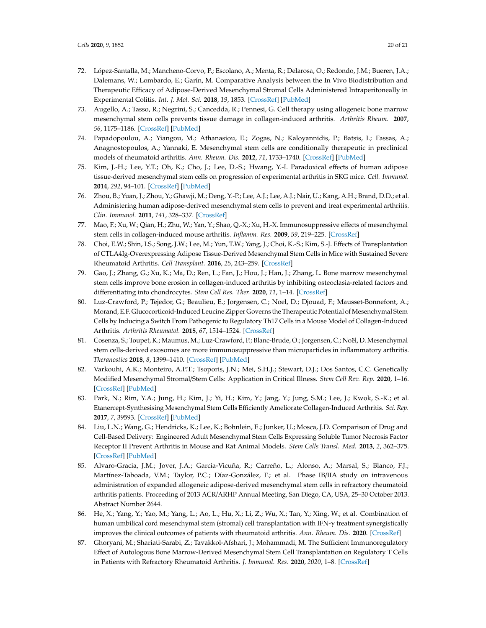- 72. López-Santalla, M.; Mancheno-Corvo, P.; Escolano, A.; Menta, R.; Delarosa, O.; Redondo, J.M.; Bueren, J.A.; Dalemans, W.; Lombardo, E.; Garín, M. Comparative Analysis between the In Vivo Biodistribution and Therapeutic Efficacy of Adipose-Derived Mesenchymal Stromal Cells Administered Intraperitoneally in Experimental Colitis. *Int. J. Mol. Sci.* **2018**, *19*, 1853. [CrossRef] [PubMed]
- 73. Augello, A.; Tasso, R.; Negrini, S.; Cancedda, R.; Pennesi, G. Cell therapy using allogeneic bone marrow mesenchymal stem cells prevents tissue damage in collagen-induced arthritis. *Arthritis Rheum.* **2007**, *56*, 1175–1186. [CrossRef] [PubMed]
- 74. Papadopoulou, A.; Yiangou, M.; Athanasiou, E.; Zogas, N.; Kaloyannidis, P.; Batsis, I.; Fassas, A.; Anagnostopoulos, A.; Yannaki, E. Mesenchymal stem cells are conditionally therapeutic in preclinical models of rheumatoid arthritis. *Ann. Rheum. Dis.* **2012**, *71*, 1733–1740. [CrossRef] [PubMed]
- 75. Kim, J.-H.; Lee, Y.T.; Oh, K.; Cho, J.; Lee, D.-S.; Hwang, Y.-I. Paradoxical effects of human adipose tissue-derived mesenchymal stem cells on progression of experimental arthritis in SKG mice. *Cell. Immunol.* **2014**, *292*, 94–101. [CrossRef] [PubMed]
- 76. Zhou, B.; Yuan, J.; Zhou, Y.; Ghawji, M.; Deng, Y.-P.; Lee, A.J.; Lee, A.J.; Nair, U.; Kang, A.H.; Brand, D.D.; et al. Administering human adipose-derived mesenchymal stem cells to prevent and treat experimental arthritis. *Clin. Immunol.* **2011**, *141*, 328–337. [CrossRef]
- 77. Mao, F.; Xu, W.; Qian, H.; Zhu, W.; Yan, Y.; Shao, Q.-X.; Xu, H.-X. Immunosuppressive effects of mesenchymal stem cells in collagen-induced mouse arthritis. *Inflamm. Res.* **2009**, *59*, 219–225. [CrossRef]
- 78. Choi, E.W.; Shin, I.S.; Song, J.W.; Lee, M.; Yun, T.W.; Yang, J.; Choi, K.-S.; Kim, S.-J. Effects of Transplantation of CTLA4Ig-Overexpressing Adipose Tissue-Derived Mesenchymal Stem Cells in Mice with Sustained Severe Rheumatoid Arthritis. *Cell Transplant.* **2016**, *25*, 243–259. [CrossRef]
- 79. Gao, J.; Zhang, G.; Xu, K.; Ma, D.; Ren, L.; Fan, J.; Hou, J.; Han, J.; Zhang, L. Bone marrow mesenchymal stem cells improve bone erosion in collagen-induced arthritis by inhibiting osteoclasia-related factors and differentiating into chondrocytes. *Stem Cell Res. Ther.* 2020, 11, 1-14. [CrossRef]
- 80. Luz-Crawford, P.; Tejedor, G.; Beaulieu, E.; Jorgensen, C.; Noel, D.; Djouad, F.; Mausset-Bonnefont, A.; Morand, E.F. Glucocorticoid-Induced Leucine Zipper Governs the Therapeutic Potential of Mesenchymal Stem Cells by Inducing a Switch From Pathogenic to Regulatory Th17 Cells in a Mouse Model of Collagen-Induced Arthritis. *Arthritis Rheumatol.* **2015**, *67*, 1514–1524. [CrossRef]
- 81. Cosenza, S.; Toupet, K.; Maumus, M.; Luz-Crawford, P.; Blanc-Brude, O.; Jorgensen, C.; Noël, D. Mesenchymal stem cells-derived exosomes are more immunosuppressive than microparticles in inflammatory arthritis. *Theranostics* **2018**, *8*, 1399–1410. [CrossRef] [PubMed]
- 82. Varkouhi, A.K.; Monteiro, A.P.T.; Tsoporis, J.N.; Mei, S.H.J.; Stewart, D.J.; Dos Santos, C.C. Genetically Modified Mesenchymal Stromal/Stem Cells: Application in Critical Illness. *Stem Cell Rev. Rep.* **2020**, 1–16. [CrossRef] [PubMed]
- 83. Park, N.; Rim, Y.A.; Jung, H.; Kim, J.; Yi, H.; Kim, Y.; Jang, Y.; Jung, S.M.; Lee, J.; Kwok, S.-K.; et al. Etanercept-Synthesising Mesenchymal Stem Cells Efficiently Ameliorate Collagen-Induced Arthritis. *Sci. Rep.* **2017**, *7*, 39593. [CrossRef] [PubMed]
- 84. Liu, L.N.; Wang, G.; Hendricks, K.; Lee, K.; Bohnlein, E.; Junker, U.; Mosca, J.D. Comparison of Drug and Cell-Based Delivery: Engineered Adult Mesenchymal Stem Cells Expressing Soluble Tumor Necrosis Factor Receptor II Prevent Arthritis in Mouse and Rat Animal Models. *Stem Cells Transl. Med.* **2013**, *2*, 362–375. [CrossRef] [PubMed]
- 85. Alvaro-Gracia, J.M.; Jover, J.A.; Garcia-Vicuña, R.; Carreño, L.; Alonso, A.; Marsal, S.; Blanco, F.J.; Martínez-Taboada, V.M.; Taylor, P.C.; Díaz-González, F.; et al. Phase IB/IIA study on intravenous administration of expanded allogeneic adipose-derived mesenchymal stem cells in refractory rheumatoid arthritis patients. Proceeding of 2013 ACR/ARHP Annual Meeting, San Diego, CA, USA, 25–30 October 2013. Abstract Number 2644.
- 86. He, X.; Yang, Y.; Yao, M.; Yang, L.; Ao, L.; Hu, X.; Li, Z.; Wu, X.; Tan, Y.; Xing, W.; et al. Combination of human umbilical cord mesenchymal stem (stromal) cell transplantation with IFN- $\gamma$  treatment synergistically improves the clinical outcomes of patients with rheumatoid arthritis. *Ann. Rheum. Dis.* **2020**. [CrossRef]
- 87. Ghoryani, M.; Shariati-Sarabi, Z.; Tavakkol-Afshari, J.; Mohammadi, M. The Sufficient Immunoregulatory Effect of Autologous Bone Marrow-Derived Mesenchymal Stem Cell Transplantation on Regulatory T Cells in Patients with Refractory Rheumatoid Arthritis. *J. Immunol. Res.* **2020**, *2020*, 1–8. [CrossRef]